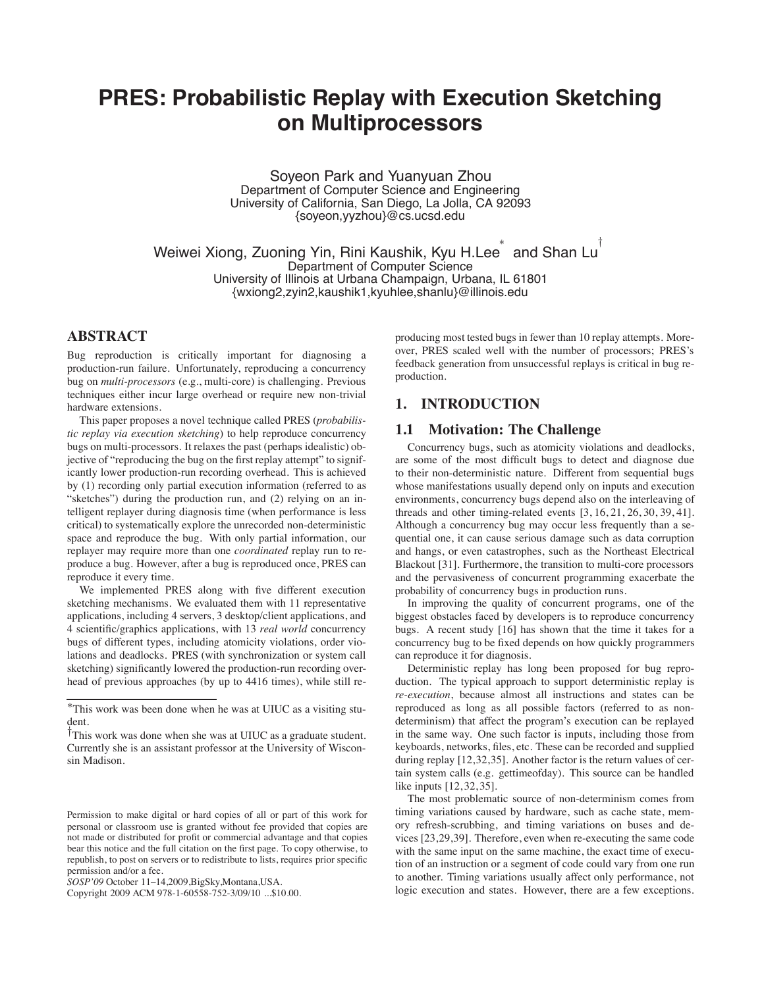# **PRES: Probabilistic Replay with Execution Sketching on Multiprocessors**

Soyeon Park and Yuanyuan Zhou Department of Computer Science and Engineering University of California, San Diego, La Jolla, CA 92093 {soyeon,yyzhou}@cs.ucsd.edu

Weiwei Xiong, Zuoning Yin, Rini Kaushik, Kyu H.Le $\mathsf{e}^{\vphantom{\dagger}}$  and Shan Lu $^{\bar{\mathsf{I}}}$ Department of Computer Science University of Illinois at Urbana Champaign, Urbana, IL 61801 {wxiong2,zyin2,kaushik1,kyuhlee,shanlu}@illinois.edu

## **ABSTRACT**

Bug reproduction is critically important for diagnosing a production-run failure. Unfortunately, reproducing a concurrency bug on *multi-processors* (e.g., multi-core) is challenging. Previous techniques either incur large overhead or require new non-trivial hardware extensions.

This paper proposes a novel technique called PRES (*probabilistic replay via execution sketching*) to help reproduce concurrency bugs on multi-processors. It relaxes the past (perhaps idealistic) objective of "reproducing the bug on the first replay attempt" to significantly lower production-run recording overhead. This is achieved by (1) recording only partial execution information (referred to as "sketches") during the production run, and (2) relying on an intelligent replayer during diagnosis time (when performance is less critical) to systematically explore the unrecorded non-deterministic space and reproduce the bug. With only partial information, our replayer may require more than one *coordinated* replay run to reproduce a bug. However, after a bug is reproduced once, PRES can reproduce it every time.

We implemented PRES along with five different execution sketching mechanisms. We evaluated them with 11 representative applications, including 4 servers, 3 desktop/client applications, and 4 scientific/graphics applications, with 13 *real world* concurrency bugs of different types, including atomicity violations, order violations and deadlocks. PRES (with synchronization or system call sketching) significantly lowered the production-run recording overhead of previous approaches (by up to 4416 times), while still reproducing most tested bugs in fewer than 10 replay attempts. Moreover, PRES scaled well with the number of processors; PRES's feedback generation from unsuccessful replays is critical in bug reproduction.

## **1. INTRODUCTION**

#### **1.1 Motivation: The Challenge**

Concurrency bugs, such as atomicity violations and deadlocks, are some of the most difficult bugs to detect and diagnose due to their non-deterministic nature. Different from sequential bugs whose manifestations usually depend only on inputs and execution environments, concurrency bugs depend also on the interleaving of threads and other timing-related events [3, 16, 21, 26, 30, 39, 41]. Although a concurrency bug may occur less frequently than a sequential one, it can cause serious damage such as data corruption and hangs, or even catastrophes, such as the Northeast Electrical Blackout [31]. Furthermore, the transition to multi-core processors and the pervasiveness of concurrent programming exacerbate the probability of concurrency bugs in production runs.

In improving the quality of concurrent programs, one of the biggest obstacles faced by developers is to reproduce concurrency bugs. A recent study [16] has shown that the time it takes for a concurrency bug to be fixed depends on how quickly programmers can reproduce it for diagnosis.

Deterministic replay has long been proposed for bug reproduction. The typical approach to support deterministic replay is *re-execution*, because almost all instructions and states can be reproduced as long as all possible factors (referred to as nondeterminism) that affect the program's execution can be replayed in the same way. One such factor is inputs, including those from keyboards, networks, files, etc. These can be recorded and supplied during replay [12,32,35]. Another factor is the return values of certain system calls (e.g. gettimeofday). This source can be handled like inputs [12, 32, 35].

The most problematic source of non-determinism comes from timing variations caused by hardware, such as cache state, memory refresh-scrubbing, and timing variations on buses and devices [23,29,39]. Therefore, even when re-executing the same code with the same input on the same machine, the exact time of execution of an instruction or a segment of code could vary from one run to another. Timing variations usually affect only performance, not logic execution and states. However, there are a few exceptions.

<sup>∗</sup>This work was been done when he was at UIUC as a visiting student.

<sup>&</sup>lt;sup>†</sup>This work was done when she was at UIUC as a graduate student. Currently she is an assistant professor at the University of Wisconsin Madison.

Permission to make digital or hard copies of all or part of this work for personal or classroom use is granted without fee provided that copies are not made or distributed for profit or commercial advantage and that copies bear this notice and the full citation on the first page. To copy otherwise, to republish, to post on servers or to redistribute to lists, requires prior specific permission and/or a fee.

*SOSP'09* October 11–14,2009,BigSky,Montana,USA.

Copyright 2009 ACM 978-1-60558-752-3/09/10 ...\$10.00.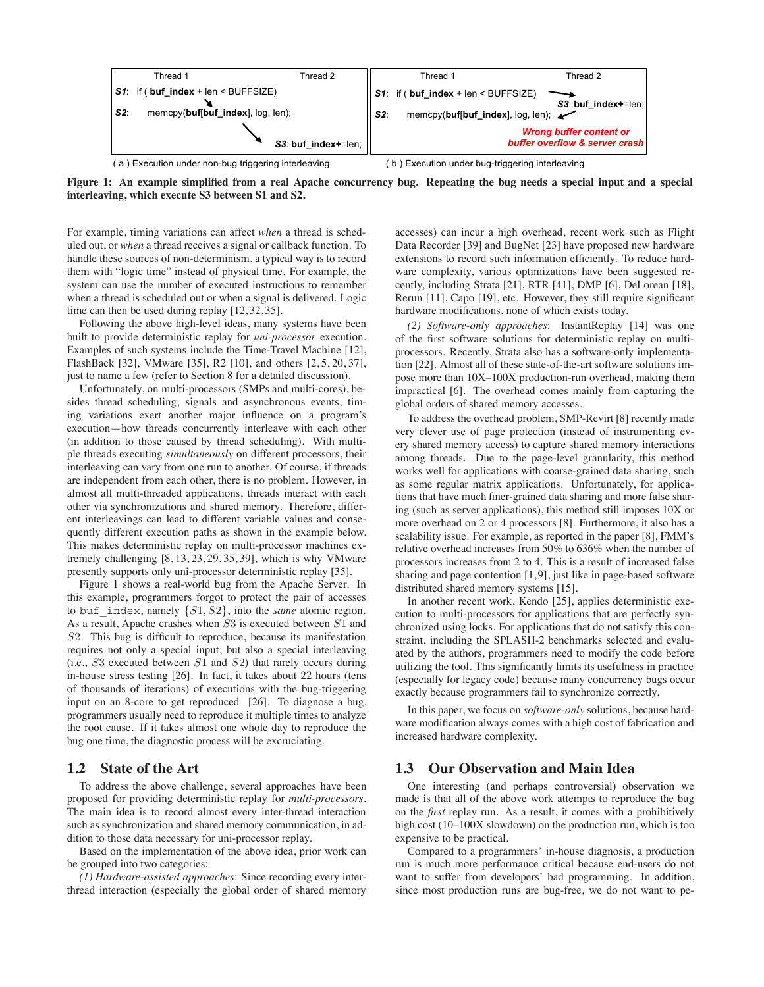

**Figure 1: An example simplified from a real Apache concurrency bug. Repeating the bug needs a special input and a special interleaving, which execute S3 between S1 and S2.**

For example, timing variations can affect *when* a thread is scheduled out, or *when* a thread receives a signal or callback function. To handle these sources of non-determinism, a typical way is to record them with "logic time" instead of physical time. For example, the system can use the number of executed instructions to remember when a thread is scheduled out or when a signal is delivered. Logic time can then be used during replay [12, 32, 35].

Following the above high-level ideas, many systems have been built to provide deterministic replay for *uni-processor* execution. Examples of such systems include the Time-Travel Machine [12], FlashBack [32], VMware [35], R2 [10], and others [2, 5, 20, 37], just to name a few (refer to Section 8 for a detailed discussion).

Unfortunately, on multi-processors (SMPs and multi-cores), besides thread scheduling, signals and asynchronous events, timing variations exert another major influence on a program's execution—how threads concurrently interleave with each other (in addition to those caused by thread scheduling). With multiple threads executing *simultaneously* on different processors, their interleaving can vary from one run to another. Of course, if threads are independent from each other, there is no problem. However, in almost all multi-threaded applications, threads interact with each other via synchronizations and shared memory. Therefore, different interleavings can lead to different variable values and consequently different execution paths as shown in the example below. This makes deterministic replay on multi-processor machines extremely challenging [8, 13, 23, 29, 35, 39], which is why VMware presently supports only uni-processor deterministic replay [35].

Figure 1 shows a real-world bug from the Apache Server. In this example, programmers forgot to protect the pair of accesses to buf\_index, namely {S1, S2}, into the *same* atomic region. As a result, Apache crashes when  $S3$  is executed between  $S1$  and S2. This bug is difficult to reproduce, because its manifestation requires not only a special input, but also a special interleaving (i.e., S3 executed between S1 and S2) that rarely occurs during in-house stress testing [26]. In fact, it takes about 22 hours (tens of thousands of iterations) of executions with the bug-triggering input on an 8-core to get reproduced [26]. To diagnose a bug, programmers usually need to reproduce it multiple times to analyze the root cause. If it takes almost one whole day to reproduce the bug one time, the diagnostic process will be excruciating.

#### **1.2 State of the Art**

To address the above challenge, several approaches have been proposed for providing deterministic replay for *multi-processors*. The main idea is to record almost every inter-thread interaction such as synchronization and shared memory communication, in addition to those data necessary for uni-processor replay.

Based on the implementation of the above idea, prior work can be grouped into two categories:

*(1) Hardware-assisted approaches*: Since recording every interthread interaction (especially the global order of shared memory accesses) can incur a high overhead, recent work such as Flight Data Recorder [39] and BugNet [23] have proposed new hardware extensions to record such information efficiently. To reduce hardware complexity, various optimizations have been suggested recently, including Strata [21], RTR [41], DMP [6], DeLorean [18], Rerun [11], Capo [19], etc. However, they still require significant hardware modifications, none of which exists today.

*(2) Software-only approaches*: InstantReplay [14] was one of the first software solutions for deterministic replay on multiprocessors. Recently, Strata also has a software-only implementation [22]. Almost all of these state-of-the-art software solutions impose more than 10X–100X production-run overhead, making them impractical [6]. The overhead comes mainly from capturing the global orders of shared memory accesses.

To address the overhead problem, SMP-Revirt [8] recently made very clever use of page protection (instead of instrumenting every shared memory access) to capture shared memory interactions among threads. Due to the page-level granularity, this method works well for applications with coarse-grained data sharing, such as some regular matrix applications. Unfortunately, for applications that have much finer-grained data sharing and more false sharing (such as server applications), this method still imposes 10X or more overhead on 2 or 4 processors [8]. Furthermore, it also has a scalability issue. For example, as reported in the paper [8], FMM's relative overhead increases from 50% to 636% when the number of processors increases from 2 to 4. This is a result of increased false sharing and page contention [1, 9], just like in page-based software distributed shared memory systems [15].

In another recent work, Kendo [25], applies deterministic execution to multi-processors for applications that are perfectly synchronized using locks. For applications that do not satisfy this constraint, including the SPLASH-2 benchmarks selected and evaluated by the authors, programmers need to modify the code before utilizing the tool. This significantly limits its usefulness in practice (especially for legacy code) because many concurrency bugs occur exactly because programmers fail to synchronize correctly.

In this paper, we focus on *software-only* solutions, because hardware modification always comes with a high cost of fabrication and increased hardware complexity.

## **1.3 Our Observation and Main Idea**

One interesting (and perhaps controversial) observation we made is that all of the above work attempts to reproduce the bug on the *first* replay run. As a result, it comes with a prohibitively high cost (10–100X slowdown) on the production run, which is too expensive to be practical.

Compared to a programmers' in-house diagnosis, a production run is much more performance critical because end-users do not want to suffer from developers' bad programming. In addition, since most production runs are bug-free, we do not want to pe-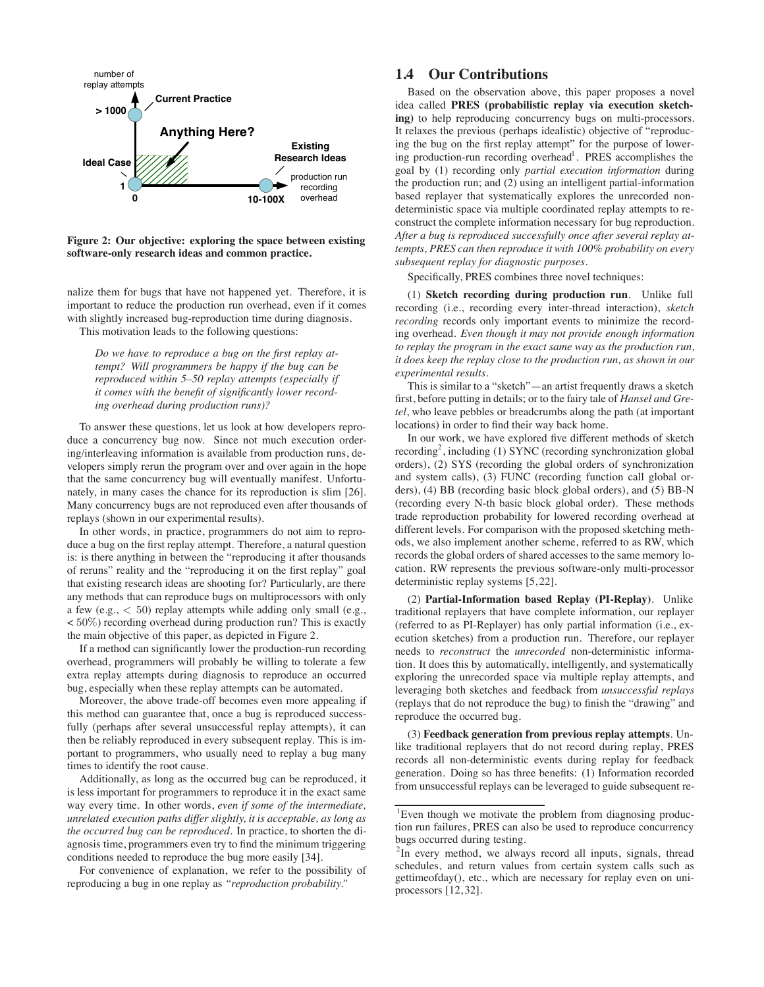

**Figure 2: Our objective: exploring the space between existing software-only research ideas and common practice.**

nalize them for bugs that have not happened yet. Therefore, it is important to reduce the production run overhead, even if it comes with slightly increased bug-reproduction time during diagnosis.

This motivation leads to the following questions:

*Do we have to reproduce a bug on the first replay attempt? Will programmers be happy if the bug can be reproduced within 5–50 replay attempts (especially if it comes with the benefit of significantly lower recording overhead during production runs)?*

To answer these questions, let us look at how developers reproduce a concurrency bug now. Since not much execution ordering/interleaving information is available from production runs, developers simply rerun the program over and over again in the hope that the same concurrency bug will eventually manifest. Unfortunately, in many cases the chance for its reproduction is slim [26]. Many concurrency bugs are not reproduced even after thousands of replays (shown in our experimental results).

In other words, in practice, programmers do not aim to reproduce a bug on the first replay attempt. Therefore, a natural question is: is there anything in between the "reproducing it after thousands of reruns" reality and the "reproducing it on the first replay" goal that existing research ideas are shooting for? Particularly, are there any methods that can reproduce bugs on multiprocessors with only a few (e.g., < 50) replay attempts while adding only small (e.g., < 50%) recording overhead during production run? This is exactly the main objective of this paper, as depicted in Figure 2.

If a method can significantly lower the production-run recording overhead, programmers will probably be willing to tolerate a few extra replay attempts during diagnosis to reproduce an occurred bug, especially when these replay attempts can be automated.

Moreover, the above trade-off becomes even more appealing if this method can guarantee that, once a bug is reproduced successfully (perhaps after several unsuccessful replay attempts), it can then be reliably reproduced in every subsequent replay. This is important to programmers, who usually need to replay a bug many times to identify the root cause.

Additionally, as long as the occurred bug can be reproduced, it is less important for programmers to reproduce it in the exact same way every time. In other words, *even if some of the intermediate, unrelated execution paths differ slightly, it is acceptable, as long as the occurred bug can be reproduced.* In practice, to shorten the diagnosis time, programmers even try to find the minimum triggering conditions needed to reproduce the bug more easily [34].

For convenience of explanation, we refer to the possibility of reproducing a bug in one replay as *"reproduction probability."*

## **1.4 Our Contributions**

Based on the observation above, this paper proposes a novel idea called **PRES (probabilistic replay via execution sketching)** to help reproducing concurrency bugs on multi-processors. It relaxes the previous (perhaps idealistic) objective of "reproducing the bug on the first replay attempt" for the purpose of lowering production-run recording overhead<sup>1</sup>. PRES accomplishes the goal by (1) recording only *partial execution information* during the production run; and (2) using an intelligent partial-information based replayer that systematically explores the unrecorded nondeterministic space via multiple coordinated replay attempts to reconstruct the complete information necessary for bug reproduction. *After a bug is reproduced successfully once after several replay attempts, PRES can then reproduce it with 100% probability on every subsequent replay for diagnostic purposes*.

Specifically, PRES combines three novel techniques:

(1) **Sketch recording during production run**. Unlike full recording (i.e., recording every inter-thread interaction), *sketch recording* records only important events to minimize the recording overhead. *Even though it may not provide enough information to replay the program in the exact same way as the production run, it does keep the replay close to the production run, as shown in our experimental results*.

This is similar to a "sketch"—an artist frequently draws a sketch first, before putting in details; or to the fairy tale of *Hansel and Gretel*, who leave pebbles or breadcrumbs along the path (at important locations) in order to find their way back home.

In our work, we have explored five different methods of sketch recording<sup>2</sup>, including (1) SYNC (recording synchronization global orders), (2) SYS (recording the global orders of synchronization and system calls), (3) FUNC (recording function call global orders), (4) BB (recording basic block global orders), and (5) BB-N (recording every N-th basic block global order). These methods trade reproduction probability for lowered recording overhead at different levels. For comparison with the proposed sketching methods, we also implement another scheme, referred to as RW, which records the global orders of shared accesses to the same memory location. RW represents the previous software-only multi-processor deterministic replay systems [5, 22].

(2) **Partial-Information based Replay (PI-Replay)**. Unlike traditional replayers that have complete information, our replayer (referred to as PI-Replayer) has only partial information (i.e., execution sketches) from a production run. Therefore, our replayer needs to *reconstruct* the *unrecorded* non-deterministic information. It does this by automatically, intelligently, and systematically exploring the unrecorded space via multiple replay attempts, and leveraging both sketches and feedback from *unsuccessful replays* (replays that do not reproduce the bug) to finish the "drawing" and reproduce the occurred bug.

(3) **Feedback generation from previous replay attempts**. Unlike traditional replayers that do not record during replay, PRES records all non-deterministic events during replay for feedback generation. Doing so has three benefits: (1) Information recorded from unsuccessful replays can be leveraged to guide subsequent re-

<sup>&</sup>lt;sup>1</sup>Even though we motivate the problem from diagnosing production run failures, PRES can also be used to reproduce concurrency bugs occurred during testing.

<sup>&</sup>lt;sup>2</sup>In every method, we always record all inputs, signals, thread schedules, and return values from certain system calls such as gettimeofday(), etc., which are necessary for replay even on uniprocessors [12,32].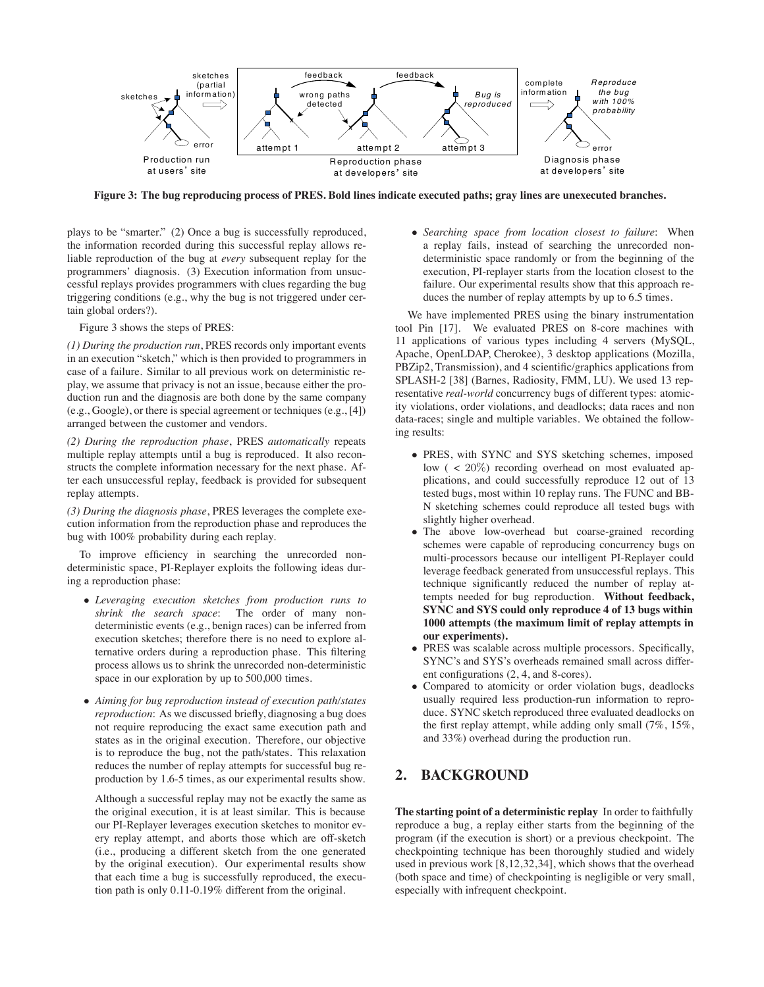

**Figure 3: The bug reproducing process of PRES. Bold lines indicate executed paths; gray lines are unexecuted branches.**

plays to be "smarter." (2) Once a bug is successfully reproduced, the information recorded during this successful replay allows reliable reproduction of the bug at *every* subsequent replay for the programmers' diagnosis. (3) Execution information from unsuccessful replays provides programmers with clues regarding the bug triggering conditions (e.g., why the bug is not triggered under certain global orders?).

#### Figure 3 shows the steps of PRES:

*(1) During the production run*, PRES records only important events in an execution "sketch," which is then provided to programmers in case of a failure. Similar to all previous work on deterministic replay, we assume that privacy is not an issue, because either the production run and the diagnosis are both done by the same company (e.g., Google), or there is special agreement or techniques (e.g., [4]) arranged between the customer and vendors.

*(2) During the reproduction phase*, PRES *automatically* repeats multiple replay attempts until a bug is reproduced. It also reconstructs the complete information necessary for the next phase. After each unsuccessful replay, feedback is provided for subsequent replay attempts.

*(3) During the diagnosis phase*, PRES leverages the complete execution information from the reproduction phase and reproduces the bug with 100% probability during each replay.

To improve efficiency in searching the unrecorded nondeterministic space, PI-Replayer exploits the following ideas during a reproduction phase:

- *Leveraging execution sketches from production runs to shrink the search space*: The order of many nondeterministic events (e.g., benign races) can be inferred from execution sketches; therefore there is no need to explore alternative orders during a reproduction phase. This filtering process allows us to shrink the unrecorded non-deterministic space in our exploration by up to 500,000 times.
- *Aiming for bug reproduction instead of execution path/states reproduction*: As we discussed briefly, diagnosing a bug does not require reproducing the exact same execution path and states as in the original execution. Therefore, our objective is to reproduce the bug, not the path/states. This relaxation reduces the number of replay attempts for successful bug reproduction by 1.6-5 times, as our experimental results show.

Although a successful replay may not be exactly the same as the original execution, it is at least similar. This is because our PI-Replayer leverages execution sketches to monitor every replay attempt, and aborts those which are off-sketch (i.e., producing a different sketch from the one generated by the original execution). Our experimental results show that each time a bug is successfully reproduced, the execution path is only 0.11-0.19% different from the original.

• *Searching space from location closest to failure*: When a replay fails, instead of searching the unrecorded nondeterministic space randomly or from the beginning of the execution, PI-replayer starts from the location closest to the failure. Our experimental results show that this approach reduces the number of replay attempts by up to 6.5 times.

We have implemented PRES using the binary instrumentation tool Pin [17]. We evaluated PRES on 8-core machines with 11 applications of various types including 4 servers (MySQL, Apache, OpenLDAP, Cherokee), 3 desktop applications (Mozilla, PBZip2, Transmission), and 4 scientific/graphics applications from SPLASH-2 [38] (Barnes, Radiosity, FMM, LU). We used 13 representative *real-world* concurrency bugs of different types: atomicity violations, order violations, and deadlocks; data races and non data-races; single and multiple variables. We obtained the following results:

- PRES, with SYNC and SYS sketching schemes, imposed low ( < 20%) recording overhead on most evaluated applications, and could successfully reproduce 12 out of 13 tested bugs, most within 10 replay runs. The FUNC and BB-N sketching schemes could reproduce all tested bugs with slightly higher overhead.
- The above low-overhead but coarse-grained recording schemes were capable of reproducing concurrency bugs on multi-processors because our intelligent PI-Replayer could leverage feedback generated from unsuccessful replays. This technique significantly reduced the number of replay attempts needed for bug reproduction. **Without feedback, SYNC and SYS could only reproduce 4 of 13 bugs within 1000 attempts (the maximum limit of replay attempts in our experiments).**
- PRES was scalable across multiple processors. Specifically, SYNC's and SYS's overheads remained small across different configurations (2, 4, and 8-cores).
- Compared to atomicity or order violation bugs, deadlocks usually required less production-run information to reproduce. SYNC sketch reproduced three evaluated deadlocks on the first replay attempt, while adding only small (7%, 15%, and 33%) overhead during the production run.

# **2. BACKGROUND**

**The starting point of a deterministic replay** In order to faithfully reproduce a bug, a replay either starts from the beginning of the program (if the execution is short) or a previous checkpoint. The checkpointing technique has been thoroughly studied and widely used in previous work [8,12,32,34], which shows that the overhead (both space and time) of checkpointing is negligible or very small, especially with infrequent checkpoint.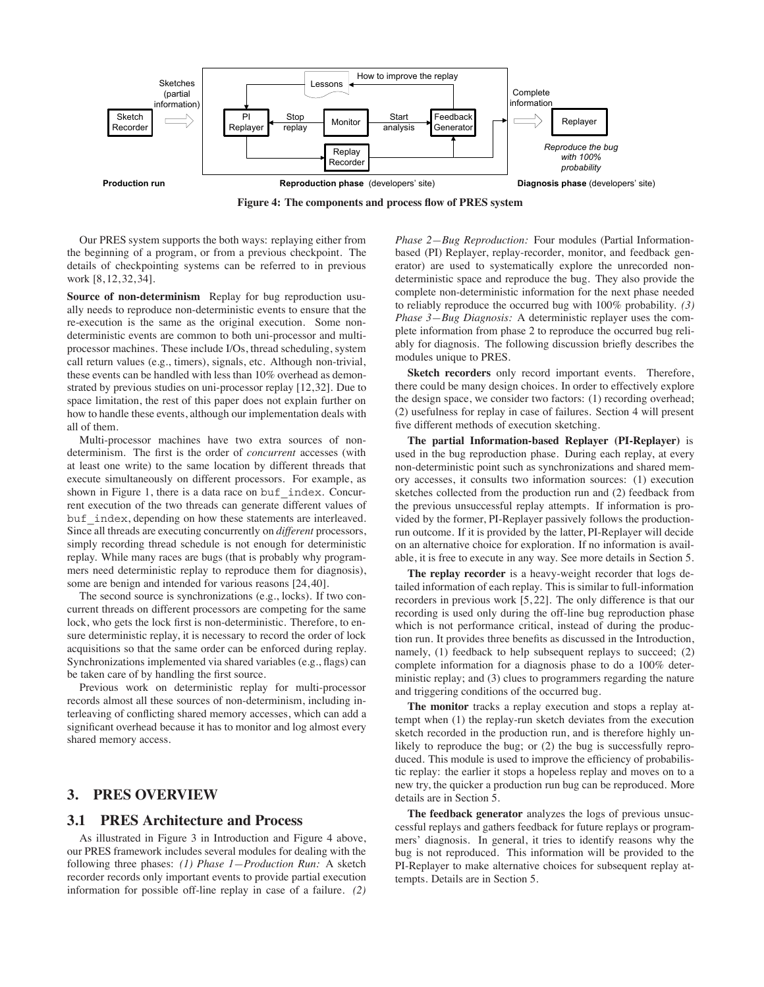

**Figure 4: The components and process flow of PRES system**

Our PRES system supports the both ways: replaying either from the beginning of a program, or from a previous checkpoint. The details of checkpointing systems can be referred to in previous work [8, 12, 32, 34].

**Source of non-determinism** Replay for bug reproduction usually needs to reproduce non-deterministic events to ensure that the re-execution is the same as the original execution. Some nondeterministic events are common to both uni-processor and multiprocessor machines. These include I/Os, thread scheduling, system call return values (e.g., timers), signals, etc. Although non-trivial, these events can be handled with less than 10% overhead as demonstrated by previous studies on uni-processor replay [12,32]. Due to space limitation, the rest of this paper does not explain further on how to handle these events, although our implementation deals with all of them.

Multi-processor machines have two extra sources of nondeterminism. The first is the order of *concurrent* accesses (with at least one write) to the same location by different threads that execute simultaneously on different processors. For example, as shown in Figure 1, there is a data race on buf index. Concurrent execution of the two threads can generate different values of buf index, depending on how these statements are interleaved. Since all threads are executing concurrently on *different* processors, simply recording thread schedule is not enough for deterministic replay. While many races are bugs (that is probably why programmers need deterministic replay to reproduce them for diagnosis), some are benign and intended for various reasons [24, 40].

The second source is synchronizations (e.g., locks). If two concurrent threads on different processors are competing for the same lock, who gets the lock first is non-deterministic. Therefore, to ensure deterministic replay, it is necessary to record the order of lock acquisitions so that the same order can be enforced during replay. Synchronizations implemented via shared variables (e.g., flags) can be taken care of by handling the first source.

Previous work on deterministic replay for multi-processor records almost all these sources of non-determinism, including interleaving of conflicting shared memory accesses, which can add a significant overhead because it has to monitor and log almost every shared memory access.

# **3. PRES OVERVIEW**

#### **3.1 PRES Architecture and Process**

As illustrated in Figure 3 in Introduction and Figure 4 above, our PRES framework includes several modules for dealing with the following three phases: *(1) Phase 1—Production Run:* A sketch recorder records only important events to provide partial execution information for possible off-line replay in case of a failure. *(2)* *Phase 2—Bug Reproduction:* Four modules (Partial Informationbased (PI) Replayer, replay-recorder, monitor, and feedback generator) are used to systematically explore the unrecorded nondeterministic space and reproduce the bug. They also provide the complete non-deterministic information for the next phase needed to reliably reproduce the occurred bug with 100% probability. *(3) Phase 3—Bug Diagnosis:* A deterministic replayer uses the complete information from phase 2 to reproduce the occurred bug reliably for diagnosis. The following discussion briefly describes the modules unique to PRES.

**Sketch recorders** only record important events. Therefore, there could be many design choices. In order to effectively explore the design space, we consider two factors: (1) recording overhead; (2) usefulness for replay in case of failures. Section 4 will present five different methods of execution sketching.

**The partial Information-based Replayer (PI-Replayer)** is used in the bug reproduction phase. During each replay, at every non-deterministic point such as synchronizations and shared memory accesses, it consults two information sources: (1) execution sketches collected from the production run and (2) feedback from the previous unsuccessful replay attempts. If information is provided by the former, PI-Replayer passively follows the productionrun outcome. If it is provided by the latter, PI-Replayer will decide on an alternative choice for exploration. If no information is available, it is free to execute in any way. See more details in Section 5.

**The replay recorder** is a heavy-weight recorder that logs detailed information of each replay. This is similar to full-information recorders in previous work [5, 22]. The only difference is that our recording is used only during the off-line bug reproduction phase which is not performance critical, instead of during the production run. It provides three benefits as discussed in the Introduction, namely, (1) feedback to help subsequent replays to succeed; (2) complete information for a diagnosis phase to do a 100% deterministic replay; and (3) clues to programmers regarding the nature and triggering conditions of the occurred bug.

**The monitor** tracks a replay execution and stops a replay attempt when (1) the replay-run sketch deviates from the execution sketch recorded in the production run, and is therefore highly unlikely to reproduce the bug; or (2) the bug is successfully reproduced. This module is used to improve the efficiency of probabilistic replay: the earlier it stops a hopeless replay and moves on to a new try, the quicker a production run bug can be reproduced. More details are in Section 5.

**The feedback generator** analyzes the logs of previous unsuccessful replays and gathers feedback for future replays or programmers' diagnosis. In general, it tries to identify reasons why the bug is not reproduced. This information will be provided to the PI-Replayer to make alternative choices for subsequent replay attempts. Details are in Section 5.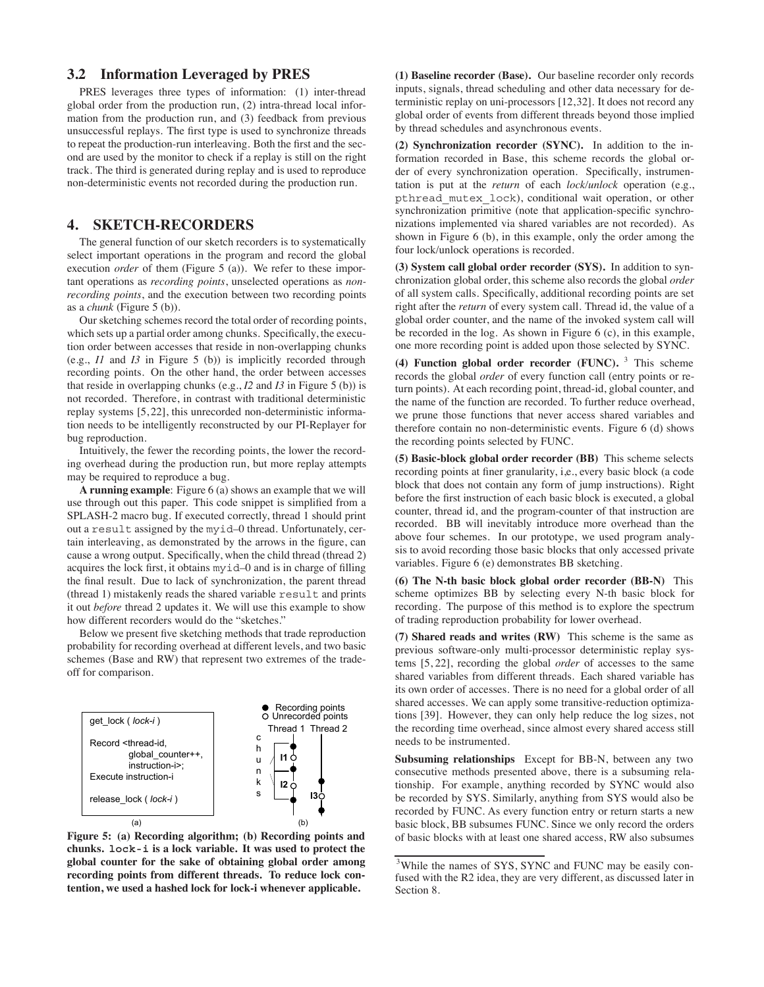## **3.2 Information Leveraged by PRES**

PRES leverages three types of information: (1) inter-thread global order from the production run, (2) intra-thread local information from the production run, and (3) feedback from previous unsuccessful replays. The first type is used to synchronize threads to repeat the production-run interleaving. Both the first and the second are used by the monitor to check if a replay is still on the right track. The third is generated during replay and is used to reproduce non-deterministic events not recorded during the production run.

# **4. SKETCH-RECORDERS**

The general function of our sketch recorders is to systematically select important operations in the program and record the global execution *order* of them (Figure 5 (a)). We refer to these important operations as *recording points*, unselected operations as *nonrecording points*, and the execution between two recording points as a *chunk* (Figure 5 (b)).

Our sketching schemes record the total order of recording points, which sets up a partial order among chunks. Specifically, the execution order between accesses that reside in non-overlapping chunks (e.g., *I1* and *I3* in Figure 5 (b)) is implicitly recorded through recording points. On the other hand, the order between accesses that reside in overlapping chunks (e.g., *I2* and *I3* in Figure 5 (b)) is not recorded. Therefore, in contrast with traditional deterministic replay systems [5, 22], this unrecorded non-deterministic information needs to be intelligently reconstructed by our PI-Replayer for bug reproduction.

Intuitively, the fewer the recording points, the lower the recording overhead during the production run, but more replay attempts may be required to reproduce a bug.

**A running example**: Figure 6 (a) shows an example that we will use through out this paper. This code snippet is simplified from a SPLASH-2 macro bug. If executed correctly, thread 1 should print out a result assigned by the myid–0 thread. Unfortunately, certain interleaving, as demonstrated by the arrows in the figure, can cause a wrong output. Specifically, when the child thread (thread 2) acquires the lock first, it obtains myid–0 and is in charge of filling the final result. Due to lack of synchronization, the parent thread (thread 1) mistakenly reads the shared variable result and prints it out *before* thread 2 updates it. We will use this example to show how different recorders would do the "sketches."

Below we present five sketching methods that trade reproduction probability for recording overhead at different levels, and two basic schemes (Base and RW) that represent two extremes of the tradeoff for comparison.



**Figure 5: (a) Recording algorithm; (b) Recording points and chunks. lock-i is a lock variable. It was used to protect the global counter for the sake of obtaining global order among recording points from different threads. To reduce lock contention, we used a hashed lock for lock-i whenever applicable.**

**(1) Baseline recorder (Base).** Our baseline recorder only records inputs, signals, thread scheduling and other data necessary for deterministic replay on uni-processors [12,32]. It does not record any global order of events from different threads beyond those implied by thread schedules and asynchronous events.

**(2) Synchronization recorder (SYNC).** In addition to the information recorded in Base, this scheme records the global order of every synchronization operation. Specifically, instrumentation is put at the *return* of each *lock/unlock* operation (e.g., pthread\_mutex\_lock), conditional wait operation, or other synchronization primitive (note that application-specific synchronizations implemented via shared variables are not recorded). As shown in Figure 6 (b), in this example, only the order among the four lock/unlock operations is recorded.

**(3) System call global order recorder (SYS).** In addition to synchronization global order, this scheme also records the global *order* of all system calls. Specifically, additional recording points are set right after the *return* of every system call. Thread id, the value of a global order counter, and the name of the invoked system call will be recorded in the log. As shown in Figure 6 (c), in this example, one more recording point is added upon those selected by SYNC.

**(4) Function global order recorder (FUNC).** <sup>3</sup> This scheme records the global *order* of every function call (entry points or return points). At each recording point, thread-id, global counter, and the name of the function are recorded. To further reduce overhead, we prune those functions that never access shared variables and therefore contain no non-deterministic events. Figure 6 (d) shows the recording points selected by FUNC.

**(5) Basic-block global order recorder (BB)** This scheme selects recording points at finer granularity, i,e., every basic block (a code block that does not contain any form of jump instructions). Right before the first instruction of each basic block is executed, a global counter, thread id, and the program-counter of that instruction are recorded. BB will inevitably introduce more overhead than the above four schemes. In our prototype, we used program analysis to avoid recording those basic blocks that only accessed private variables. Figure 6 (e) demonstrates BB sketching.

**(6) The N-th basic block global order recorder (BB-N)** This scheme optimizes BB by selecting every N-th basic block for recording. The purpose of this method is to explore the spectrum of trading reproduction probability for lower overhead.

**(7) Shared reads and writes (RW)** This scheme is the same as previous software-only multi-processor deterministic replay systems [5, 22], recording the global *order* of accesses to the same shared variables from different threads. Each shared variable has its own order of accesses. There is no need for a global order of all shared accesses. We can apply some transitive-reduction optimizations [39]. However, they can only help reduce the log sizes, not the recording time overhead, since almost every shared access still needs to be instrumented.

**Subsuming relationships** Except for BB-N, between any two consecutive methods presented above, there is a subsuming relationship. For example, anything recorded by SYNC would also be recorded by SYS. Similarly, anything from SYS would also be recorded by FUNC. As every function entry or return starts a new basic block, BB subsumes FUNC. Since we only record the orders of basic blocks with at least one shared access, RW also subsumes

<sup>&</sup>lt;sup>3</sup>While the names of SYS, SYNC and FUNC may be easily confused with the R2 idea, they are very different, as discussed later in Section 8.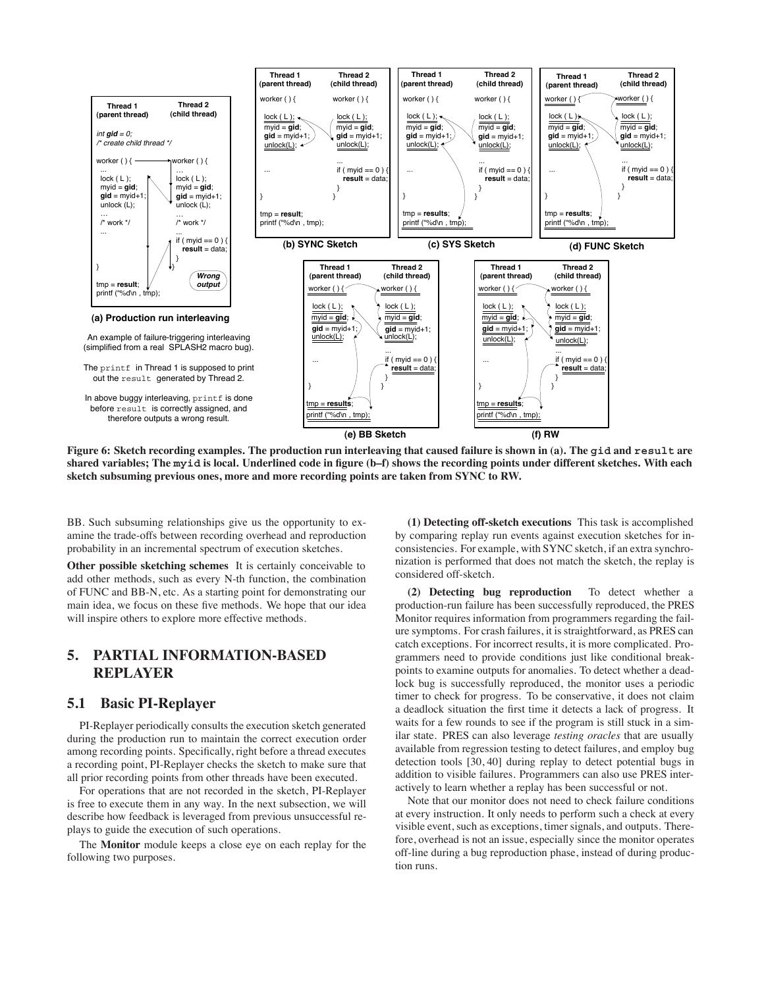

**Figure 6: Sketch recording examples. The production run interleaving that caused failure is shown in (a). The gid and result are shared variables; The myid is local. Underlined code in figure (b–f) shows the recording points under different sketches. With each sketch subsuming previous ones, more and more recording points are taken from SYNC to RW.**

BB. Such subsuming relationships give us the opportunity to examine the trade-offs between recording overhead and reproduction probability in an incremental spectrum of execution sketches.

**Other possible sketching schemes** It is certainly conceivable to add other methods, such as every N-th function, the combination of FUNC and BB-N, etc. As a starting point for demonstrating our main idea, we focus on these five methods. We hope that our idea will inspire others to explore more effective methods.

# **5. PARTIAL INFORMATION-BASED REPLAYER**

#### **5.1 Basic PI-Replayer**

PI-Replayer periodically consults the execution sketch generated during the production run to maintain the correct execution order among recording points. Specifically, right before a thread executes a recording point, PI-Replayer checks the sketch to make sure that all prior recording points from other threads have been executed.

For operations that are not recorded in the sketch, PI-Replayer is free to execute them in any way. In the next subsection, we will describe how feedback is leveraged from previous unsuccessful replays to guide the execution of such operations.

The **Monitor** module keeps a close eye on each replay for the following two purposes.

**(1) Detecting off-sketch executions** This task is accomplished by comparing replay run events against execution sketches for inconsistencies. For example, with SYNC sketch, if an extra synchronization is performed that does not match the sketch, the replay is considered off-sketch.

**(2) Detecting bug reproduction** To detect whether a production-run failure has been successfully reproduced, the PRES Monitor requires information from programmers regarding the failure symptoms. For crash failures, it is straightforward, as PRES can catch exceptions. For incorrect results, it is more complicated. Programmers need to provide conditions just like conditional breakpoints to examine outputs for anomalies. To detect whether a deadlock bug is successfully reproduced, the monitor uses a periodic timer to check for progress. To be conservative, it does not claim a deadlock situation the first time it detects a lack of progress. It waits for a few rounds to see if the program is still stuck in a similar state. PRES can also leverage *testing oracles* that are usually available from regression testing to detect failures, and employ bug detection tools [30, 40] during replay to detect potential bugs in addition to visible failures. Programmers can also use PRES interactively to learn whether a replay has been successful or not.

Note that our monitor does not need to check failure conditions at every instruction. It only needs to perform such a check at every visible event, such as exceptions, timer signals, and outputs. Therefore, overhead is not an issue, especially since the monitor operates off-line during a bug reproduction phase, instead of during production runs.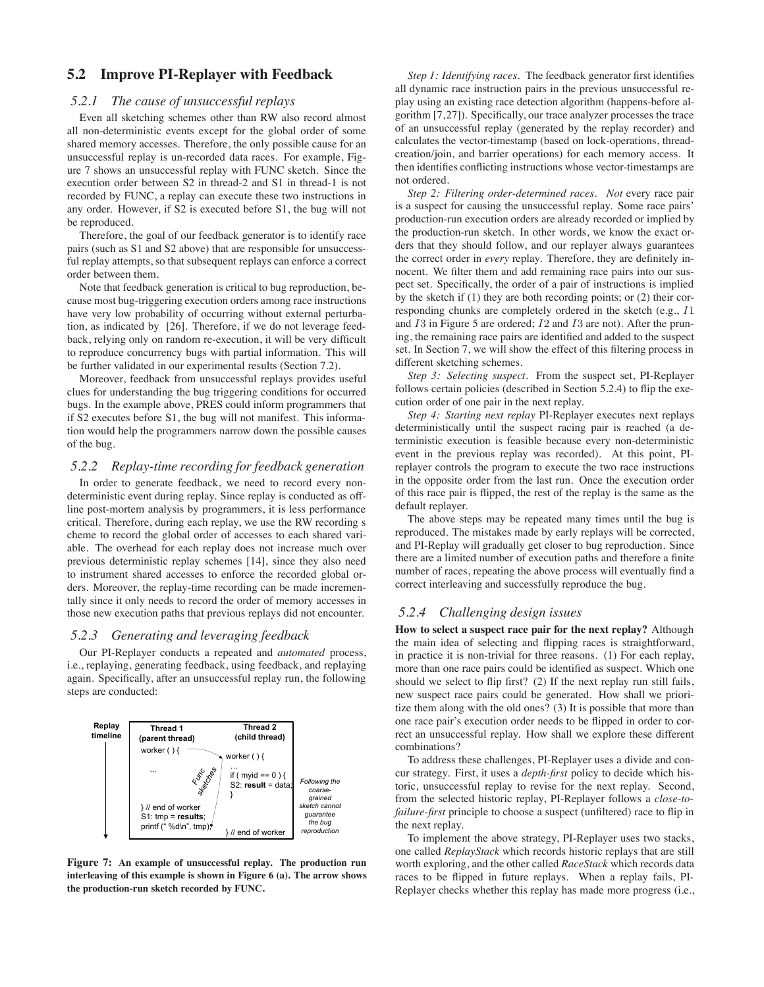# **5.2 Improve PI-Replayer with Feedback**

## *5.2.1 The cause of unsuccessful replays*

Even all sketching schemes other than RW also record almost all non-deterministic events except for the global order of some shared memory accesses. Therefore, the only possible cause for an unsuccessful replay is un-recorded data races. For example, Figure 7 shows an unsuccessful replay with FUNC sketch. Since the execution order between S2 in thread-2 and S1 in thread-1 is not recorded by FUNC, a replay can execute these two instructions in any order. However, if S2 is executed before S1, the bug will not be reproduced.

Therefore, the goal of our feedback generator is to identify race pairs (such as S1 and S2 above) that are responsible for unsuccessful replay attempts, so that subsequent replays can enforce a correct order between them.

Note that feedback generation is critical to bug reproduction, because most bug-triggering execution orders among race instructions have very low probability of occurring without external perturbation, as indicated by [26]. Therefore, if we do not leverage feedback, relying only on random re-execution, it will be very difficult to reproduce concurrency bugs with partial information. This will be further validated in our experimental results (Section 7.2).

Moreover, feedback from unsuccessful replays provides useful clues for understanding the bug triggering conditions for occurred bugs. In the example above, PRES could inform programmers that if S2 executes before S1, the bug will not manifest. This information would help the programmers narrow down the possible causes of the bug.

#### *5.2.2 Replay-time recording for feedback generation*

In order to generate feedback, we need to record every nondeterministic event during replay. Since replay is conducted as offline post-mortem analysis by programmers, it is less performance critical. Therefore, during each replay, we use the RW recording s cheme to record the global order of accesses to each shared variable. The overhead for each replay does not increase much over previous deterministic replay schemes [14], since they also need to instrument shared accesses to enforce the recorded global orders. Moreover, the replay-time recording can be made incrementally since it only needs to record the order of memory accesses in those new execution paths that previous replays did not encounter.

## *5.2.3 Generating and leveraging feedback*

Our PI-Replayer conducts a repeated and *automated* process, i.e., replaying, generating feedback, using feedback, and replaying again. Specifically, after an unsuccessful replay run, the following steps are conducted:



**Figure 7: An example of unsuccessful replay. The production run interleaving of this example is shown in Figure 6 (a). The arrow shows the production-run sketch recorded by FUNC.**

*Step 1: Identifying races.* The feedback generator first identifies all dynamic race instruction pairs in the previous unsuccessful replay using an existing race detection algorithm (happens-before algorithm [7,27]). Specifically, our trace analyzer processes the trace of an unsuccessful replay (generated by the replay recorder) and calculates the vector-timestamp (based on lock-operations, threadcreation/join, and barrier operations) for each memory access. It then identifies conflicting instructions whose vector-timestamps are not ordered.

*Step 2: Filtering order-determined races. Not* every race pair is a suspect for causing the unsuccessful replay. Some race pairs' production-run execution orders are already recorded or implied by the production-run sketch. In other words, we know the exact orders that they should follow, and our replayer always guarantees the correct order in *every* replay. Therefore, they are definitely innocent. We filter them and add remaining race pairs into our suspect set. Specifically, the order of a pair of instructions is implied by the sketch if (1) they are both recording points; or (2) their corresponding chunks are completely ordered in the sketch (e.g., I1 and I3 in Figure 5 are ordered; I2 and I3 are not). After the pruning, the remaining race pairs are identified and added to the suspect set. In Section 7, we will show the effect of this filtering process in different sketching schemes.

*Step 3: Selecting suspect.* From the suspect set, PI-Replayer follows certain policies (described in Section 5.2.4) to flip the execution order of one pair in the next replay.

*Step 4: Starting next replay* PI-Replayer executes next replays deterministically until the suspect racing pair is reached (a deterministic execution is feasible because every non-deterministic event in the previous replay was recorded). At this point, PIreplayer controls the program to execute the two race instructions in the opposite order from the last run. Once the execution order of this race pair is flipped, the rest of the replay is the same as the default replayer.

The above steps may be repeated many times until the bug is reproduced. The mistakes made by early replays will be corrected, and PI-Replay will gradually get closer to bug reproduction. Since there are a limited number of execution paths and therefore a finite number of races, repeating the above process will eventually find a correct interleaving and successfully reproduce the bug.

#### *5.2.4 Challenging design issues*

**How to select a suspect race pair for the next replay?** Although the main idea of selecting and flipping races is straightforward, in practice it is non-trivial for three reasons. (1) For each replay, more than one race pairs could be identified as suspect. Which one should we select to flip first? (2) If the next replay run still fails, new suspect race pairs could be generated. How shall we prioritize them along with the old ones? (3) It is possible that more than one race pair's execution order needs to be flipped in order to correct an unsuccessful replay. How shall we explore these different combinations?

To address these challenges, PI-Replayer uses a divide and concur strategy. First, it uses a *depth-first* policy to decide which historic, unsuccessful replay to revise for the next replay. Second, from the selected historic replay, PI-Replayer follows a *close-tofailure-first* principle to choose a suspect (unfiltered) race to flip in the next replay.

To implement the above strategy, PI-Replayer uses two stacks, one called *ReplayStack* which records historic replays that are still worth exploring, and the other called *RaceStack* which records data races to be flipped in future replays. When a replay fails, PI-Replayer checks whether this replay has made more progress (i.e.,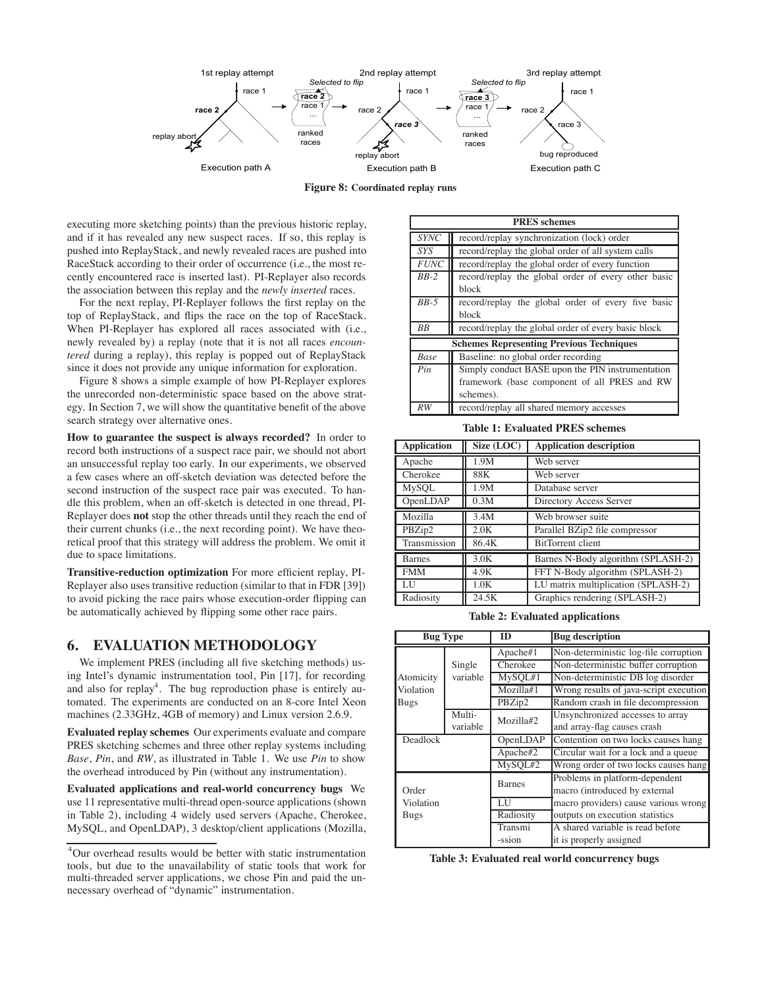

**Figure 8: Coordinated replay runs**

executing more sketching points) than the previous historic replay, and if it has revealed any new suspect races. If so, this replay is pushed into ReplayStack, and newly revealed races are pushed into RaceStack according to their order of occurrence (i.e., the most recently encountered race is inserted last). PI-Replayer also records the association between this replay and the *newly inserted* races.

For the next replay, PI-Replayer follows the first replay on the top of ReplayStack, and flips the race on the top of RaceStack. When PI-Replayer has explored all races associated with (i.e., newly revealed by) a replay (note that it is not all races *encountered* during a replay), this replay is popped out of ReplayStack since it does not provide any unique information for exploration.

Figure 8 shows a simple example of how PI-Replayer explores the unrecorded non-deterministic space based on the above strategy. In Section 7, we will show the quantitative benefit of the above search strategy over alternative ones.

**How to guarantee the suspect is always recorded?** In order to record both instructions of a suspect race pair, we should not abort an unsuccessful replay too early. In our experiments, we observed a few cases where an off-sketch deviation was detected before the second instruction of the suspect race pair was executed. To handle this problem, when an off-sketch is detected in one thread, PI-Replayer does **not** stop the other threads until they reach the end of their current chunks (i.e., the next recording point). We have theoretical proof that this strategy will address the problem. We omit it due to space limitations.

**Transitive-reduction optimization** For more efficient replay, PI-Replayer also uses transitive reduction (similar to that in FDR [39]) to avoid picking the race pairs whose execution-order flipping can be automatically achieved by flipping some other race pairs.

## **6. EVALUATION METHODOLOGY**

We implement PRES (including all five sketching methods) using Intel's dynamic instrumentation tool, Pin [17], for recording and also for replay<sup>4</sup>. The bug reproduction phase is entirely automated. The experiments are conducted on an 8-core Intel Xeon machines (2.33GHz, 4GB of memory) and Linux version 2.6.9.

**Evaluated replay schemes** Our experiments evaluate and compare PRES sketching schemes and three other replay systems including *Base*, *Pin*, and *RW*, as illustrated in Table 1. We use *Pin* to show the overhead introduced by Pin (without any instrumentation).

**Evaluated applications and real-world concurrency bugs** We use 11 representative multi-thread open-source applications (shown in Table 2), including 4 widely used servers (Apache, Cherokee, MySQL, and OpenLDAP), 3 desktop/client applications (Mozilla,

|             | <b>PRES</b> schemes                                                                                           |
|-------------|---------------------------------------------------------------------------------------------------------------|
| <b>SYNC</b> | record/replay synchronization (lock) order                                                                    |
| <b>SYS</b>  | record/replay the global order of all system calls                                                            |
| <b>FUNC</b> | record/replay the global order of every function                                                              |
| $BB-2$      | record/replay the global order of every other basic<br>block                                                  |
| $BB-5$      | record/replay the global order of every five basic<br>block                                                   |
| <b>BB</b>   | record/replay the global order of every basic block                                                           |
|             | <b>Schemes Representing Previous Techniques</b>                                                               |
| Base        | Baseline: no global order recording                                                                           |
| Pin         | Simply conduct BASE upon the PIN instrumentation<br>framework (base component of all PRES and RW<br>schemes). |
| RW          | record/replay all shared memory accesses                                                                      |

#### **Table 1: Evaluated PRES schemes**

| <b>Application</b> | Size (LOC) | <b>Application description</b>      |
|--------------------|------------|-------------------------------------|
| Apache             | 1.9M       | Web server                          |
| Cherokee           | 88K        | Web server                          |
| MySQL              | 1.9M       | Database server                     |
| OpenLDAP           | 0.3M       | Directory Access Server             |
| Mozilla            | 3.4M       | Web browser suite                   |
| PBZip2             | 2.0K       | Parallel BZip2 file compressor      |
| Transmission       | 86.4K      | <b>BitTorrent client</b>            |
| <b>Barnes</b>      | 3.0K       | Barnes N-Body algorithm (SPLASH-2)  |
| <b>FMM</b>         | 4.9K       | FFT N-Body algorithm (SPLASH-2)     |
| LU                 | 1.0K       | LU matrix multiplication (SPLASH-2) |
| Radiosity          | 24.5K      | Graphics rendering (SPLASH-2)       |

**Table 2: Evaluated applications**

| <b>Bug Type</b> |          | <b>ID</b> | <b>Bug</b> description                 |  |  |  |
|-----------------|----------|-----------|----------------------------------------|--|--|--|
|                 |          |           |                                        |  |  |  |
|                 |          | Apache#1  | Non-deterministic log-file corruption  |  |  |  |
|                 | Single   | Cherokee  | Non-deterministic buffer corruption    |  |  |  |
| Atomicity       | variable | MySQL#1   | Non-deterministic DB log disorder      |  |  |  |
| Violation       |          | Mozilla#1 | Wrong results of java-script execution |  |  |  |
| Bugs            |          | PBZip2    | Random crash in file decompression     |  |  |  |
|                 | Multi-   | Mozilla#2 | Unsynchronized accesses to array       |  |  |  |
|                 | variable |           | and array-flag causes crash            |  |  |  |
| Deadlock        |          | OpenLDAP  | Contention on two locks causes hang    |  |  |  |
|                 |          | Apache#2  | Circular wait for a lock and a queue   |  |  |  |
|                 |          | MySQL#2   | Wrong order of two locks causes hang   |  |  |  |
|                 |          | Barnes    | Problems in platform-dependent         |  |  |  |
| Order           |          |           | macro (introduced by external          |  |  |  |
| Violation       |          | LU        | macro providers) cause various wrong   |  |  |  |
| <b>Bugs</b>     |          | Radiosity | outputs on execution statistics        |  |  |  |
|                 |          | Transmi   | A shared variable is read before       |  |  |  |
|                 |          | -ssion    | it is properly assigned                |  |  |  |

**Table 3: Evaluated real world concurrency bugs**

<sup>4</sup> Our overhead results would be better with static instrumentation tools, but due to the unavailability of static tools that work for multi-threaded server applications, we chose Pin and paid the unnecessary overhead of "dynamic" instrumentation.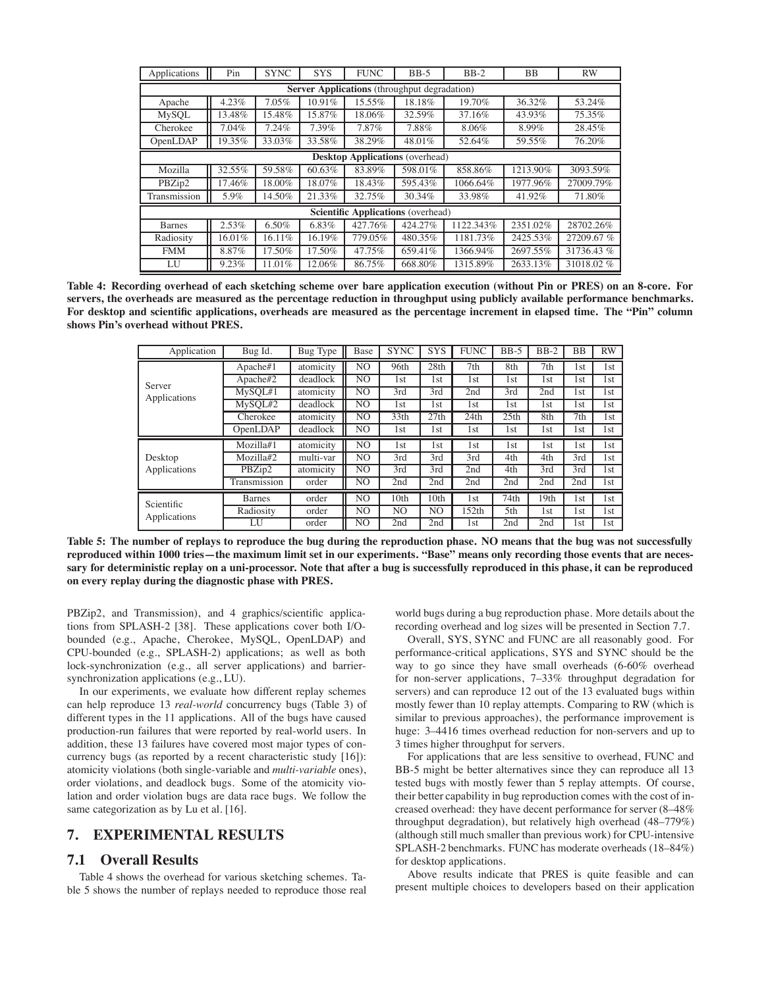| Applications                           | Pin                                          | <b>SYNC</b> | <b>SYS</b> | <b>FUNC</b> | $BB-5$                                    | $BB-2$    | <b>BB</b> | <b>RW</b>  |  |  |  |  |  |
|----------------------------------------|----------------------------------------------|-------------|------------|-------------|-------------------------------------------|-----------|-----------|------------|--|--|--|--|--|
|                                        | Server Applications (throughput degradation) |             |            |             |                                           |           |           |            |  |  |  |  |  |
| Apache                                 | 4.23%                                        | 7.05%       | 10.91%     | 15.55%      | 18.18%                                    | 19.70%    | 36.32%    | 53.24%     |  |  |  |  |  |
| <b>MySOL</b>                           | 13.48%                                       | 15.48%      | 15.87%     | 18.06%      | 32.59%                                    | 37.16%    | 43.93%    | 75.35%     |  |  |  |  |  |
| Cherokee                               | 7.04%                                        | 7.24%       | 7.39%      | 7.87%       | 7.88%                                     | 8.06%     | 8.99%     | 28.45%     |  |  |  |  |  |
| OpenLDAP                               | 19.35%                                       | 33.03%      | 33.58%     | 38.29%      | 48.01%                                    | 52.64%    | 59.55%    | 76.20%     |  |  |  |  |  |
| <b>Desktop Applications</b> (overhead) |                                              |             |            |             |                                           |           |           |            |  |  |  |  |  |
| Mozilla                                | 32.55%                                       | 59.58%      | 60.63%     | 83.89%      | 598.01%                                   | 858.86%   | 1213.90%  | 3093.59%   |  |  |  |  |  |
| PBZip2                                 | 17.46%                                       | 18.00%      | 18.07%     | 18.43%      | 595.43%                                   | 1066.64%  | 1977.96%  | 27009.79%  |  |  |  |  |  |
| Transmission                           | 5.9%                                         | 14.50%      | 21.33%     | 32.75%      | 30.34%                                    | 33.98%    | 41.92%    | 71.80%     |  |  |  |  |  |
|                                        |                                              |             |            |             | <b>Scientific Applications (overhead)</b> |           |           |            |  |  |  |  |  |
| <b>Barnes</b>                          | 2.53%                                        | 6.50%       | 6.83%      | 427.76%     | 424.27%                                   | 1122.343% | 2351.02%  | 28702.26%  |  |  |  |  |  |
| Radiosity                              | $16.01\%$                                    | 16.11%      | 16.19%     | 779.05%     | 480.35%                                   | 1181.73%  | 2425.53%  | 27209.67 % |  |  |  |  |  |
| <b>FMM</b>                             | 8.87%                                        | $17.50\%$   | 17.50%     | 47.75%      | 659.41%                                   | 1366.94%  | 2697.55%  | 31736.43 % |  |  |  |  |  |
| LU                                     | 9.23%                                        | 11.01%      | 12.06%     | 86.75%      | 668.80%                                   | 1315.89%  | 2633.13%  | 31018.02 % |  |  |  |  |  |

**Table 4: Recording overhead of each sketching scheme over bare application execution (without Pin or PRES) on an 8-core. For servers, the overheads are measured as the percentage reduction in throughput using publicly available performance benchmarks. For desktop and scientific applications, overheads are measured as the percentage increment in elapsed time. The "Pin" column shows Pin's overhead without PRES.**

| Application  | Bug Id.       | Bug Type  | Base           | <b>SYNC</b>      | <b>SYS</b>       | <b>FUNC</b>     | $BB-5$           | $BB-2$           | BB  | <b>RW</b> |
|--------------|---------------|-----------|----------------|------------------|------------------|-----------------|------------------|------------------|-----|-----------|
|              | Apache#1      | atomicity | NO             | 96th             | 28th             | 7th             | 8th              | 7th              | 1st | 1st       |
| Server       | Apache#2      | deadlock  | N <sub>O</sub> | 1st              | 1st              | 1st             | 1st              | 1st              | 1st | 1st       |
| Applications | MySOL#1       | atomicity | NO             | 3rd              | 3rd              | 2 <sub>nd</sub> | 3rd              | 2nd              | 1st | 1st       |
|              | MySOL#2       | deadlock  | N <sub>O</sub> | 1st              | 1st              | 1st             | 1st              | 1st              | 1st | 1st       |
|              | Cherokee      | atomicity | NO             | 33th             | 27th             | 24th            | 25 <sub>th</sub> | 8th              | 7th | 1st       |
|              | OpenLDAP      | deadlock  | NO             | 1st              | 1st              | 1st             | 1st              | 1st              | 1st | 1st       |
|              | Mozilla#1     | atomicity | NO.            | 1st              | 1st              | 1st             | 1st              | 1st              | 1st | 1st       |
| Desktop      | Mozilla#2     | multi-var | NO             | 3rd              | 3rd              | 3rd             | 4th              | 4th              | 3rd | 1st.      |
| Applications | PBZip2        | atomicity | N <sub>0</sub> | 3rd              | 3rd              | 2 <sub>nd</sub> | 4th              | 3rd              | 3rd | 1st       |
|              | Transmission  | order     | N <sub>O</sub> | 2 <sub>nd</sub>  | 2 <sub>nd</sub>  | 2 <sub>nd</sub> | 2nd              | 2nd              | 2nd | 1st       |
| Scientific   | <b>Barnes</b> | order     | N <sub>O</sub> | 10 <sub>th</sub> | 10 <sub>th</sub> | 1st             | 74th             | 19 <sub>th</sub> | 1st | 1st       |
|              | Radiosity     | order     | N <sub>O</sub> | NO               | N <sub>O</sub>   | 152th           | 5th              | 1st              | 1st | 1st       |
| Applications | LU            | order     | N <sub>O</sub> | 2nd              | 2nd              | 1st             | 2nd              | 2nd              | 1st | 1st       |

**Table 5: The number of replays to reproduce the bug during the reproduction phase. NO means that the bug was not successfully reproduced within 1000 tries—the maximum limit set in our experiments. "Base" means only recording those events that are necessary for deterministic replay on a uni-processor. Note that after a bug is successfully reproduced in this phase, it can be reproduced on every replay during the diagnostic phase with PRES.**

PBZip2, and Transmission), and 4 graphics/scientific applications from SPLASH-2 [38]. These applications cover both I/Obounded (e.g., Apache, Cherokee, MySQL, OpenLDAP) and CPU-bounded (e.g., SPLASH-2) applications; as well as both lock-synchronization (e.g., all server applications) and barriersynchronization applications (e.g., LU).

In our experiments, we evaluate how different replay schemes can help reproduce 13 *real-world* concurrency bugs (Table 3) of different types in the 11 applications. All of the bugs have caused production-run failures that were reported by real-world users. In addition, these 13 failures have covered most major types of concurrency bugs (as reported by a recent characteristic study [16]): atomicity violations (both single-variable and *multi-variable* ones), order violations, and deadlock bugs. Some of the atomicity violation and order violation bugs are data race bugs. We follow the same categorization as by Lu et al. [16].

## **7. EXPERIMENTAL RESULTS**

#### **7.1 Overall Results**

Table 4 shows the overhead for various sketching schemes. Table 5 shows the number of replays needed to reproduce those real world bugs during a bug reproduction phase. More details about the recording overhead and log sizes will be presented in Section 7.7.

Overall, SYS, SYNC and FUNC are all reasonably good. For performance-critical applications, SYS and SYNC should be the way to go since they have small overheads (6-60% overhead for non-server applications, 7–33% throughput degradation for servers) and can reproduce 12 out of the 13 evaluated bugs within mostly fewer than 10 replay attempts. Comparing to RW (which is similar to previous approaches), the performance improvement is huge: 3–4416 times overhead reduction for non-servers and up to 3 times higher throughput for servers.

For applications that are less sensitive to overhead, FUNC and BB-5 might be better alternatives since they can reproduce all 13 tested bugs with mostly fewer than 5 replay attempts. Of course, their better capability in bug reproduction comes with the cost of increased overhead: they have decent performance for server (8–48% throughput degradation), but relatively high overhead (48–779%) (although still much smaller than previous work) for CPU-intensive SPLASH-2 benchmarks. FUNC has moderate overheads (18–84%) for desktop applications.

Above results indicate that PRES is quite feasible and can present multiple choices to developers based on their application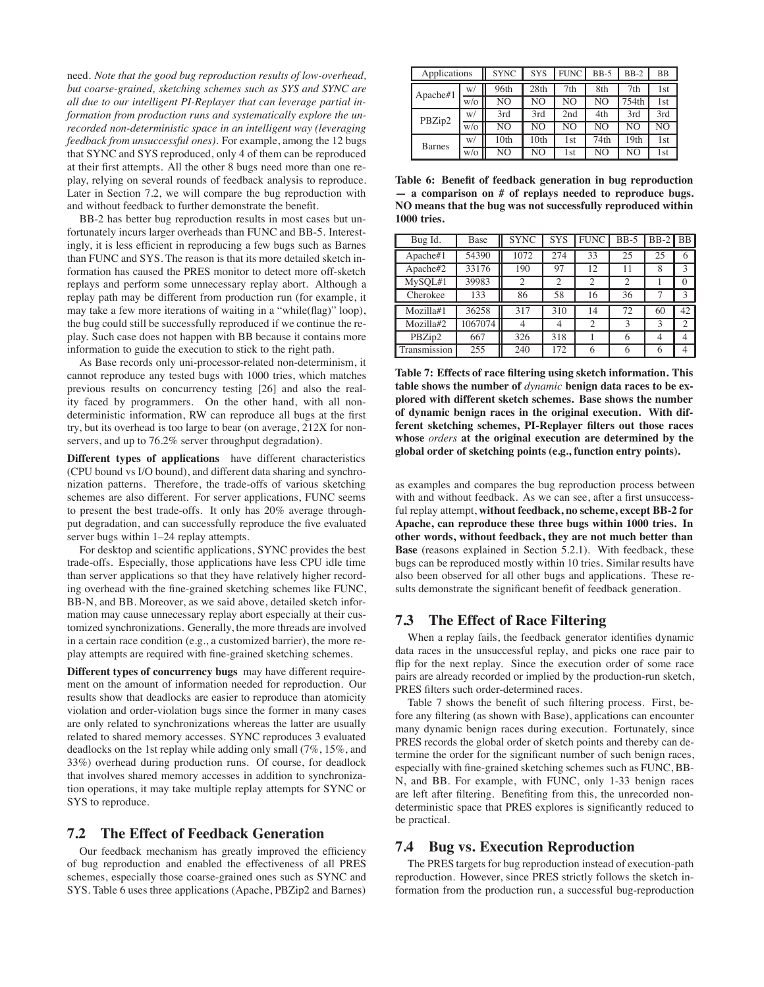need. *Note that the good bug reproduction results of low-overhead, but coarse-grained, sketching schemes such as SYS and SYNC are all due to our intelligent PI-Replayer that can leverage partial information from production runs and systematically explore the unrecorded non-deterministic space in an intelligent way (leveraging feedback from unsuccessful ones).* For example, among the 12 bugs that SYNC and SYS reproduced, only 4 of them can be reproduced at their first attempts. All the other 8 bugs need more than one replay, relying on several rounds of feedback analysis to reproduce. Later in Section 7.2, we will compare the bug reproduction with and without feedback to further demonstrate the benefit.

BB-2 has better bug reproduction results in most cases but unfortunately incurs larger overheads than FUNC and BB-5. Interestingly, it is less efficient in reproducing a few bugs such as Barnes than FUNC and SYS. The reason is that its more detailed sketch information has caused the PRES monitor to detect more off-sketch replays and perform some unnecessary replay abort. Although a replay path may be different from production run (for example, it may take a few more iterations of waiting in a "while(flag)" loop), the bug could still be successfully reproduced if we continue the replay. Such case does not happen with BB because it contains more information to guide the execution to stick to the right path.

As Base records only uni-processor-related non-determinism, it cannot reproduce any tested bugs with 1000 tries, which matches previous results on concurrency testing [26] and also the reality faced by programmers. On the other hand, with all nondeterministic information, RW can reproduce all bugs at the first try, but its overhead is too large to bear (on average, 212X for nonservers, and up to 76.2% server throughput degradation).

**Different types of applications** have different characteristics (CPU bound vs I/O bound), and different data sharing and synchronization patterns. Therefore, the trade-offs of various sketching schemes are also different. For server applications, FUNC seems to present the best trade-offs. It only has 20% average throughput degradation, and can successfully reproduce the five evaluated server bugs within 1–24 replay attempts.

For desktop and scientific applications, SYNC provides the best trade-offs. Especially, those applications have less CPU idle time than server applications so that they have relatively higher recording overhead with the fine-grained sketching schemes like FUNC, BB-N, and BB. Moreover, as we said above, detailed sketch information may cause unnecessary replay abort especially at their customized synchronizations. Generally, the more threads are involved in a certain race condition (e.g., a customized barrier), the more replay attempts are required with fine-grained sketching schemes.

**Different types of concurrency bugs** may have different requirement on the amount of information needed for reproduction. Our results show that deadlocks are easier to reproduce than atomicity violation and order-violation bugs since the former in many cases are only related to synchronizations whereas the latter are usually related to shared memory accesses. SYNC reproduces 3 evaluated deadlocks on the 1st replay while adding only small (7%, 15%, and 33%) overhead during production runs. Of course, for deadlock that involves shared memory accesses in addition to synchronization operations, it may take multiple replay attempts for SYNC or SYS to reproduce.

#### **7.2 The Effect of Feedback Generation**

Our feedback mechanism has greatly improved the efficiency of bug reproduction and enabled the effectiveness of all PRES schemes, especially those coarse-grained ones such as SYNC and SYS. Table 6 uses three applications (Apache, PBZip2 and Barnes)

|               | Applications |                  | <b>SYS</b>       | <b>FUNC</b> | $BB-5$           | $BB-2$ | <b>BB</b>       |
|---------------|--------------|------------------|------------------|-------------|------------------|--------|-----------------|
| Apache#1      | w/           | 96th             | 28th             | 7th         | 8th              | 7th    | 1st             |
|               | w/o          | NΟ               | NO               | NO.         | NO               | 754th  | 1st             |
| PBZip2        | W/           | 3rd              | 3rd              | 2nd         | 4th              | 3rd    | 3rd             |
|               | W/O          | NO.              | NO               | NO          | NO               | NΟ     | NΟ              |
| <b>Barnes</b> | W/           | 10 <sub>th</sub> | 10 <sub>th</sub> | 1st         | 74 <sub>th</sub> | 19th   | 1 <sub>st</sub> |
|               | w/o          | NΟ               | NO               | 1st         | NO               | NΟ     | 1st             |

**Table 6: Benefit of feedback generation in bug reproduction — a comparison on # of replays needed to reproduce bugs. NO means that the bug was not successfully reproduced within 1000 tries.**

| Bug Id.      | Base    | <b>SYNC</b>    | <b>SYS</b>     | <b>FUNC</b>    | $BB-5$         | $BB-2$ | <b>BB</b>     |
|--------------|---------|----------------|----------------|----------------|----------------|--------|---------------|
| Apache#1     | 54390   | 1072           | 274            | 33             | 25             | 25     | 6             |
| Apache#2     | 33176   | 190            | 97             | 12             | 11             | 8      | 3             |
| MySQL#1      | 39983   | $\overline{c}$ | $\overline{c}$ | $\overline{c}$ | $\overline{c}$ |        | $\Omega$      |
| Cherokee     | 133     | 86             | 58             | 16             | 36             | 7      | 3             |
| Mozilla#1    | 36258   | 317            | 310            | 14             | 72             | 60     | 42            |
| Mozilla#2    | 1067074 | 4              | 4              | $\mathcal{D}$  | 3              | 3      | $\mathcal{D}$ |
| PBZip2       | 667     | 326            | 318            |                | 6              | 4      | 4             |
| Transmission | 255     | 240            | 172            |                | 6              | 6      | 4             |

**Table 7: Effects of race filtering using sketch information. This table shows the number of** *dynamic* **benign data races to be explored with different sketch schemes. Base shows the number of dynamic benign races in the original execution. With different sketching schemes, PI-Replayer filters out those races whose** *orders* **at the original execution are determined by the global order of sketching points (e.g., function entry points).**

as examples and compares the bug reproduction process between with and without feedback. As we can see, after a first unsuccessful replay attempt, **without feedback, no scheme, except BB-2 for Apache, can reproduce these three bugs within 1000 tries. In other words, without feedback, they are not much better than Base** (reasons explained in Section 5.2.1). With feedback, these bugs can be reproduced mostly within 10 tries. Similar results have also been observed for all other bugs and applications. These results demonstrate the significant benefit of feedback generation.

## **7.3 The Effect of Race Filtering**

When a replay fails, the feedback generator identifies dynamic data races in the unsuccessful replay, and picks one race pair to flip for the next replay. Since the execution order of some race pairs are already recorded or implied by the production-run sketch, PRES filters such order-determined races.

Table 7 shows the benefit of such filtering process. First, before any filtering (as shown with Base), applications can encounter many dynamic benign races during execution. Fortunately, since PRES records the global order of sketch points and thereby can determine the order for the significant number of such benign races, especially with fine-grained sketching schemes such as FUNC, BB-N, and BB. For example, with FUNC, only 1-33 benign races are left after filtering. Benefiting from this, the unrecorded nondeterministic space that PRES explores is significantly reduced to be practical.

#### **7.4 Bug vs. Execution Reproduction**

The PRES targets for bug reproduction instead of execution-path reproduction. However, since PRES strictly follows the sketch information from the production run, a successful bug-reproduction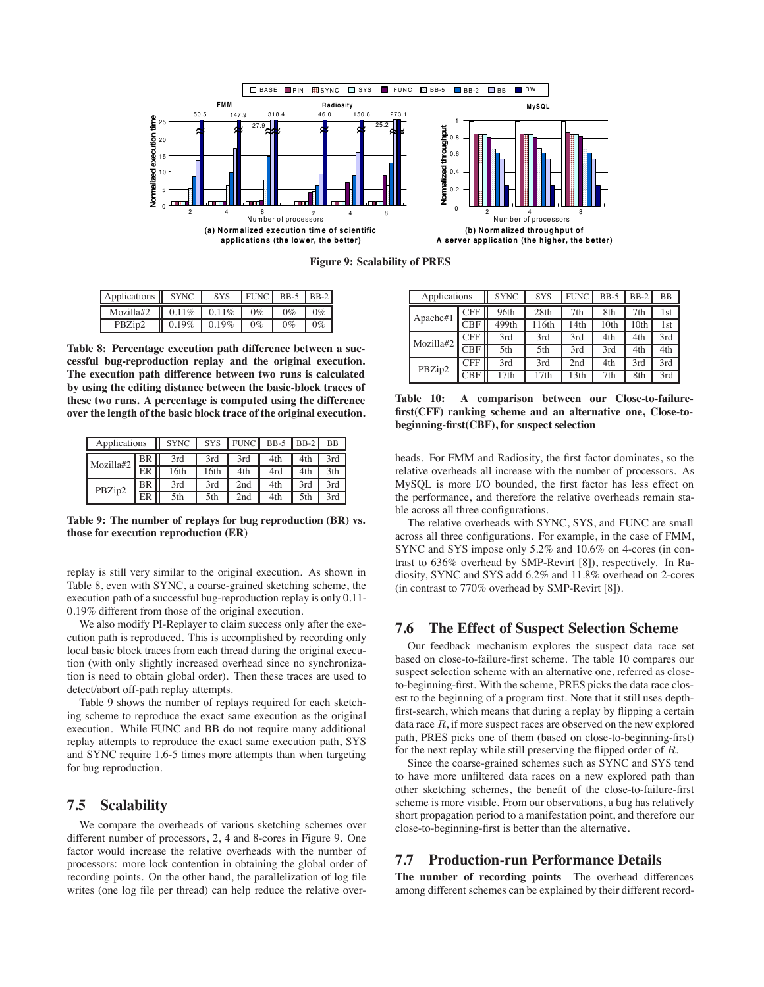

**Figure 9: Scalability of PRES**

| Applications SYNC             |                | <b>SYS</b> |       | FUNC BB-5 BB-2 |  |
|-------------------------------|----------------|------------|-------|----------------|--|
| Mozilla#2 $\vert$ 0.11% 0.11% |                |            | $0\%$ | $0\%$          |  |
| PBZip2                        | $0.19\%$ 0.19% |            | $0\%$ | $0\%$          |  |

**Table 8: Percentage execution path difference between a successful bug-reproduction replay and the original execution. The execution path difference between two runs is calculated by using the editing distance between the basic-block traces of these two runs. A percentage is computed using the difference over the length of the basic block trace of the original execution.**

| Applications |           | <b>SYNC</b> | <b>SYS</b> | <b>FUNC</b><br>$BB-2$<br>$BB-5$ |     | <b>BB</b> |     |
|--------------|-----------|-------------|------------|---------------------------------|-----|-----------|-----|
| Mozilla#2    | <b>BR</b> | 3rd         | 3rd        | 3rd                             | 4th | 4th       | 3rd |
|              | ER        | 16th        | 16th       | 4th                             | 4rd | 4th       | 3th |
| PBZip2       | BR        | 3rd         | 3rd        | 2nd                             | 4th | 3rd       | 3rd |
|              | ER        | 5th         | 5th        | 2nd                             | 4th | 5th       | 3rd |

**Table 9: The number of replays for bug reproduction (BR) vs. those for execution reproduction (ER)**

replay is still very similar to the original execution. As shown in Table 8, even with SYNC, a coarse-grained sketching scheme, the execution path of a successful bug-reproduction replay is only 0.11- 0.19% different from those of the original execution.

We also modify PI-Replayer to claim success only after the execution path is reproduced. This is accomplished by recording only local basic block traces from each thread during the original execution (with only slightly increased overhead since no synchronization is need to obtain global order). Then these traces are used to detect/abort off-path replay attempts.

Table 9 shows the number of replays required for each sketching scheme to reproduce the exact same execution as the original execution. While FUNC and BB do not require many additional replay attempts to reproduce the exact same execution path, SYS and SYNC require 1.6-5 times more attempts than when targeting for bug reproduction.

#### **7.5 Scalability**

We compare the overheads of various sketching schemes over different number of processors, 2, 4 and 8-cores in Figure 9. One factor would increase the relative overheads with the number of processors: more lock contention in obtaining the global order of recording points. On the other hand, the parallelization of log file writes (one log file per thread) can help reduce the relative over-

| Applications |            | <b>SYNC</b> | <b>SYS</b> | <b>FUNC</b> | $BB-5$           | $BB-2$ | <b>BB</b> |
|--------------|------------|-------------|------------|-------------|------------------|--------|-----------|
| Apache#1     | <b>CFF</b> | 96th        | 28th       | 7th         | 8th              | 7th    | 1st       |
|              | CBF        | 499th       | 116th      | 14th        | 10 <sub>th</sub> | 10th   | 1st       |
| Mozilla#2    | <b>CFF</b> | 3rd         | 3rd        | 3rd         | 4th              | 4th    | 3rd       |
|              | <b>CBF</b> | 5th         | 5th        | 3rd         | 3rd              | 4th    | 4th       |
| PBZip2       | <b>CFF</b> | 3rd         | 3rd        | 2nd         | 4th              | 3rd    | 3rd       |
|              | CBF        | 17th        | 17th       | 13th        | 7th              | 8th    | 3rd       |

**Table 10: A comparison between our Close-to-failurefirst(CFF) ranking scheme and an alternative one, Close-tobeginning-first(CBF), for suspect selection**

heads. For FMM and Radiosity, the first factor dominates, so the relative overheads all increase with the number of processors. As MySQL is more I/O bounded, the first factor has less effect on the performance, and therefore the relative overheads remain stable across all three configurations.

The relative overheads with SYNC, SYS, and FUNC are small across all three configurations. For example, in the case of FMM, SYNC and SYS impose only 5.2% and 10.6% on 4-cores (in contrast to 636% overhead by SMP-Revirt [8]), respectively. In Radiosity, SYNC and SYS add 6.2% and 11.8% overhead on 2-cores (in contrast to 770% overhead by SMP-Revirt [8]).

## **7.6 The Effect of Suspect Selection Scheme**

Our feedback mechanism explores the suspect data race set based on close-to-failure-first scheme. The table 10 compares our suspect selection scheme with an alternative one, referred as closeto-beginning-first. With the scheme, PRES picks the data race closest to the beginning of a program first. Note that it still uses depthfirst-search, which means that during a replay by flipping a certain data race  $R$ , if more suspect races are observed on the new explored path, PRES picks one of them (based on close-to-beginning-first) for the next replay while still preserving the flipped order of  $R$ .

Since the coarse-grained schemes such as SYNC and SYS tend to have more unfiltered data races on a new explored path than other sketching schemes, the benefit of the close-to-failure-first scheme is more visible. From our observations, a bug has relatively short propagation period to a manifestation point, and therefore our close-to-beginning-first is better than the alternative.

## **7.7 Production-run Performance Details**

**The number of recording points** The overhead differences among different schemes can be explained by their different record-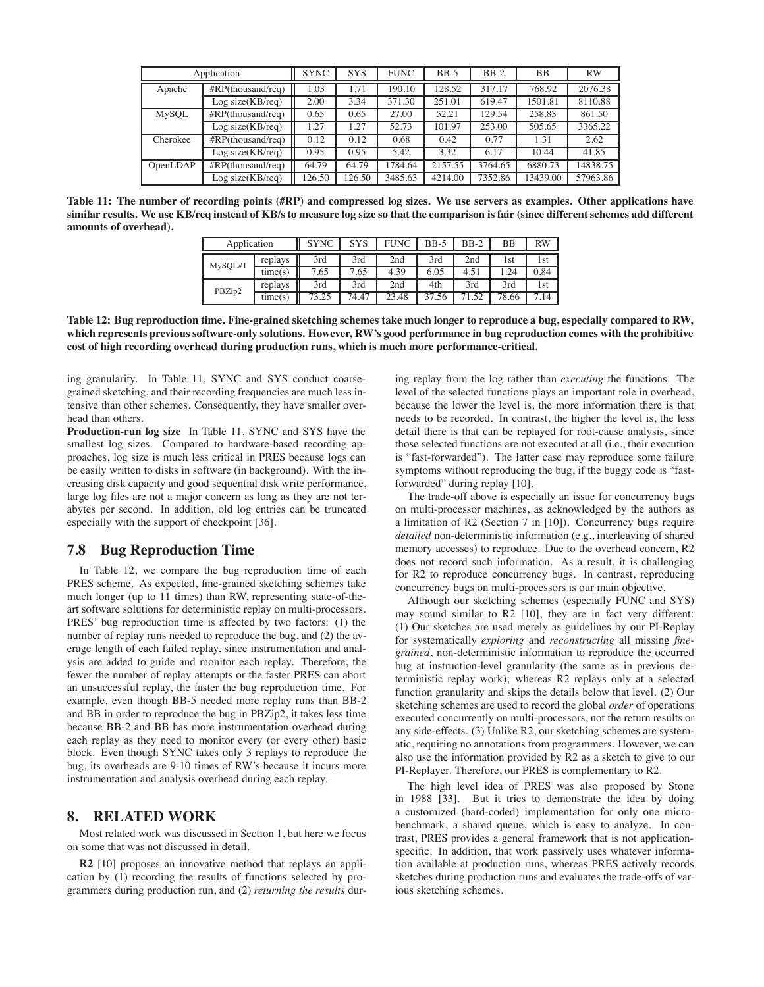| Application |                       | <b>SYNC</b> | <b>SYS</b> | <b>FUNC</b> | $BB-5$  | $BB-2$  | <b>BB</b> | <b>RW</b> |
|-------------|-----------------------|-------------|------------|-------------|---------|---------|-----------|-----------|
| Apache      | $\#RP$ (thousand/req) | 1.03        | 1.71       | 190.10      | 128.52  | 317.17  | 768.92    | 2076.38   |
|             | Log size $(KB$ /req)  | 2.00        | 3.34       | 371.30      | 251.01  | 619.47  | 1501.81   | 8110.88   |
| MySQL       | $\#RP$ (thousand/req) | 0.65        | 0.65       | 27.00       | 52.21   | 129.54  | 258.83    | 861.50    |
|             | Log size $(KB$ /req)  | .27         | 1.27       | 52.73       | 101.97  | 253.00  | 505.65    | 3365.22   |
| Cherokee    | $\#RP$ (thousand/req) | 0.12        | 0.12       | 0.68        | 0.42    | 0.77    | 1.31      | 2.62      |
|             | Log size $(KB$ /req)  | 0.95        | 0.95       | 5.42        | 3.32    | 6.17    | 10.44     | 41.85     |
| OpenLDAP    | $\#RP$ (thousand/req) | 64.79       | 64.79      | 1784.64     | 2157.55 | 3764.65 | 6880.73   | 14838.75  |
|             | Log size(KB/req)      | 126.50      | 126.50     | 3485.63     | 4214.00 | 7352.86 | 13439.00  | 57963.86  |

**Table 11: The number of recording points (#RP) and compressed log sizes. We use servers as examples. Other applications have similar results. We use KB/req instead of KB/s to measure log size so that the comparison is fair (since different schemes add different amounts of overhead).**

| Application |         | <b>SYNC</b> | <b>SYS</b> | FUNC  | $BB-5$ | $BB-2$ | BB    | RW   |
|-------------|---------|-------------|------------|-------|--------|--------|-------|------|
| MySQL#1     | replays | 3rd         | 3rd        | 2nd   | 3rd    | 2nd    | l st  | l st |
|             | time(s) | 7.65        | 7.65       | 4.39  | 6.05   | 4.51   | .24   | 0.84 |
| PBZip2      | replays | 3rd         | 3rd        | 2nd   | 4th    | 3rd    | 3rd   | l st |
|             | time(s) | 73.25       | 74.47      | 23.48 | 37.56  | 1.52   | 78.66 | .14  |

**Table 12: Bug reproduction time. Fine-grained sketching schemes take much longer to reproduce a bug, especially compared to RW, which represents previous software-only solutions. However, RW's good performance in bug reproduction comes with the prohibitive cost of high recording overhead during production runs, which is much more performance-critical.**

ing granularity. In Table 11, SYNC and SYS conduct coarsegrained sketching, and their recording frequencies are much less intensive than other schemes. Consequently, they have smaller overhead than others.

**Production-run log size** In Table 11, SYNC and SYS have the smallest log sizes. Compared to hardware-based recording approaches, log size is much less critical in PRES because logs can be easily written to disks in software (in background). With the increasing disk capacity and good sequential disk write performance, large log files are not a major concern as long as they are not terabytes per second. In addition, old log entries can be truncated especially with the support of checkpoint [36].

## **7.8 Bug Reproduction Time**

In Table 12, we compare the bug reproduction time of each PRES scheme. As expected, fine-grained sketching schemes take much longer (up to 11 times) than RW, representing state-of-theart software solutions for deterministic replay on multi-processors. PRES' bug reproduction time is affected by two factors: (1) the number of replay runs needed to reproduce the bug, and (2) the average length of each failed replay, since instrumentation and analysis are added to guide and monitor each replay. Therefore, the fewer the number of replay attempts or the faster PRES can abort an unsuccessful replay, the faster the bug reproduction time. For example, even though BB-5 needed more replay runs than BB-2 and BB in order to reproduce the bug in PBZip2, it takes less time because BB-2 and BB has more instrumentation overhead during each replay as they need to monitor every (or every other) basic block. Even though SYNC takes only 3 replays to reproduce the bug, its overheads are 9-10 times of RW's because it incurs more instrumentation and analysis overhead during each replay.

## **8. RELATED WORK**

Most related work was discussed in Section 1, but here we focus on some that was not discussed in detail.

**R2** [10] proposes an innovative method that replays an application by (1) recording the results of functions selected by programmers during production run, and (2) *returning the results* during replay from the log rather than *executing* the functions. The level of the selected functions plays an important role in overhead, because the lower the level is, the more information there is that needs to be recorded. In contrast, the higher the level is, the less detail there is that can be replayed for root-cause analysis, since those selected functions are not executed at all (i.e., their execution is "fast-forwarded"). The latter case may reproduce some failure symptoms without reproducing the bug, if the buggy code is "fastforwarded" during replay [10].

The trade-off above is especially an issue for concurrency bugs on multi-processor machines, as acknowledged by the authors as a limitation of R2 (Section 7 in [10]). Concurrency bugs require *detailed* non-deterministic information (e.g., interleaving of shared memory accesses) to reproduce. Due to the overhead concern, R2 does not record such information. As a result, it is challenging for R2 to reproduce concurrency bugs. In contrast, reproducing concurrency bugs on multi-processors is our main objective.

Although our sketching schemes (especially FUNC and SYS) may sound similar to R2 [10], they are in fact very different: (1) Our sketches are used merely as guidelines by our PI-Replay for systematically *exploring* and *reconstructing* all missing *finegrained*, non-deterministic information to reproduce the occurred bug at instruction-level granularity (the same as in previous deterministic replay work); whereas R2 replays only at a selected function granularity and skips the details below that level. (2) Our sketching schemes are used to record the global *order* of operations executed concurrently on multi-processors, not the return results or any side-effects. (3) Unlike R2, our sketching schemes are systematic, requiring no annotations from programmers. However, we can also use the information provided by R2 as a sketch to give to our PI-Replayer. Therefore, our PRES is complementary to R2.

The high level idea of PRES was also proposed by Stone in 1988 [33]. But it tries to demonstrate the idea by doing a customized (hard-coded) implementation for only one microbenchmark, a shared queue, which is easy to analyze. In contrast, PRES provides a general framework that is not applicationspecific. In addition, that work passively uses whatever information available at production runs, whereas PRES actively records sketches during production runs and evaluates the trade-offs of various sketching schemes.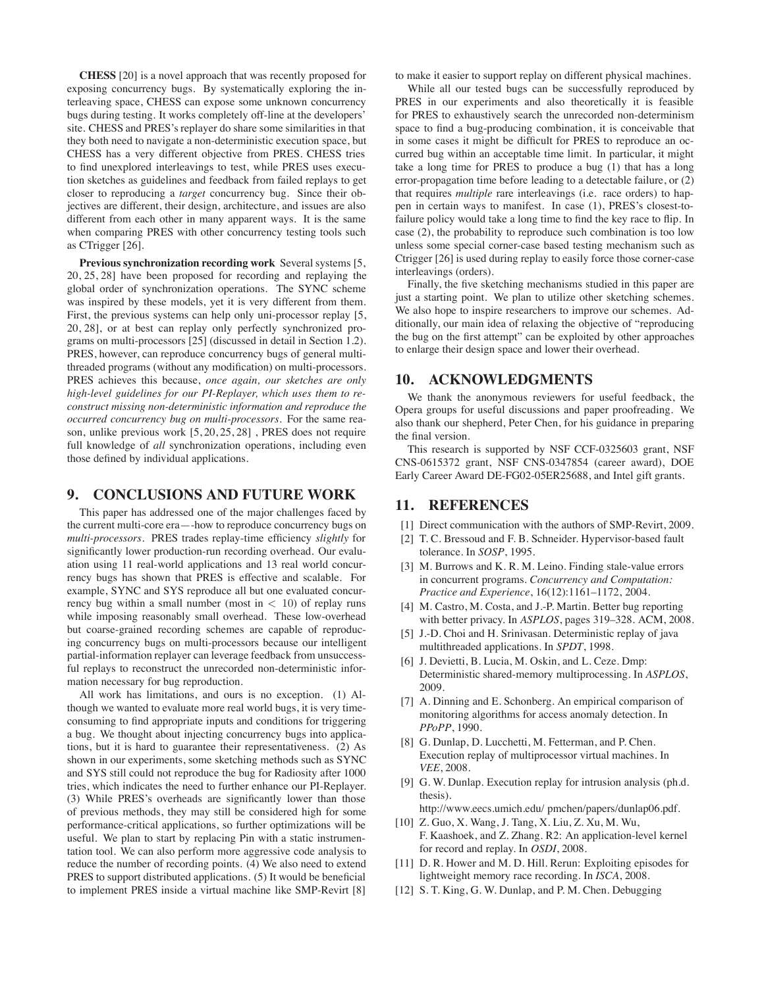**CHESS** [20] is a novel approach that was recently proposed for exposing concurrency bugs. By systematically exploring the interleaving space, CHESS can expose some unknown concurrency bugs during testing. It works completely off-line at the developers' site. CHESS and PRES's replayer do share some similarities in that they both need to navigate a non-deterministic execution space, but CHESS has a very different objective from PRES. CHESS tries to find unexplored interleavings to test, while PRES uses execution sketches as guidelines and feedback from failed replays to get closer to reproducing a *target* concurrency bug. Since their objectives are different, their design, architecture, and issues are also different from each other in many apparent ways. It is the same when comparing PRES with other concurrency testing tools such as CTrigger [26].

**Previous synchronization recording work** Several systems [5, 20, 25, 28] have been proposed for recording and replaying the global order of synchronization operations. The SYNC scheme was inspired by these models, yet it is very different from them. First, the previous systems can help only uni-processor replay [5, 20, 28], or at best can replay only perfectly synchronized programs on multi-processors [25] (discussed in detail in Section 1.2). PRES, however, can reproduce concurrency bugs of general multithreaded programs (without any modification) on multi-processors. PRES achieves this because, *once again, our sketches are only high-level guidelines for our PI-Replayer, which uses them to reconstruct missing non-deterministic information and reproduce the occurred concurrency bug on multi-processors*. For the same reason, unlike previous work [5, 20, 25, 28] , PRES does not require full knowledge of *all* synchronization operations, including even those defined by individual applications.

#### **9. CONCLUSIONS AND FUTURE WORK**

This paper has addressed one of the major challenges faced by the current multi-core era—-how to reproduce concurrency bugs on *multi-processors*. PRES trades replay-time efficiency *slightly* for significantly lower production-run recording overhead. Our evaluation using 11 real-world applications and 13 real world concurrency bugs has shown that PRES is effective and scalable. For example, SYNC and SYS reproduce all but one evaluated concurrency bug within a small number (most in  $< 10$ ) of replay runs while imposing reasonably small overhead. These low-overhead but coarse-grained recording schemes are capable of reproducing concurrency bugs on multi-processors because our intelligent partial-information replayer can leverage feedback from unsuccessful replays to reconstruct the unrecorded non-deterministic information necessary for bug reproduction.

All work has limitations, and ours is no exception. (1) Although we wanted to evaluate more real world bugs, it is very timeconsuming to find appropriate inputs and conditions for triggering a bug. We thought about injecting concurrency bugs into applications, but it is hard to guarantee their representativeness. (2) As shown in our experiments, some sketching methods such as SYNC and SYS still could not reproduce the bug for Radiosity after 1000 tries, which indicates the need to further enhance our PI-Replayer. (3) While PRES's overheads are significantly lower than those of previous methods, they may still be considered high for some performance-critical applications, so further optimizations will be useful. We plan to start by replacing Pin with a static instrumentation tool. We can also perform more aggressive code analysis to reduce the number of recording points. (4) We also need to extend PRES to support distributed applications. (5) It would be beneficial to implement PRES inside a virtual machine like SMP-Revirt [8] to make it easier to support replay on different physical machines.

While all our tested bugs can be successfully reproduced by PRES in our experiments and also theoretically it is feasible for PRES to exhaustively search the unrecorded non-determinism space to find a bug-producing combination, it is conceivable that in some cases it might be difficult for PRES to reproduce an occurred bug within an acceptable time limit. In particular, it might take a long time for PRES to produce a bug (1) that has a long error-propagation time before leading to a detectable failure, or (2) that requires *multiple* rare interleavings (i.e. race orders) to happen in certain ways to manifest. In case (1), PRES's closest-tofailure policy would take a long time to find the key race to flip. In case (2), the probability to reproduce such combination is too low unless some special corner-case based testing mechanism such as Ctrigger [26] is used during replay to easily force those corner-case interleavings (orders).

Finally, the five sketching mechanisms studied in this paper are just a starting point. We plan to utilize other sketching schemes. We also hope to inspire researchers to improve our schemes. Additionally, our main idea of relaxing the objective of "reproducing the bug on the first attempt" can be exploited by other approaches to enlarge their design space and lower their overhead.

## **10. ACKNOWLEDGMENTS**

We thank the anonymous reviewers for useful feedback, the Opera groups for useful discussions and paper proofreading. We also thank our shepherd, Peter Chen, for his guidance in preparing the final version.

This research is supported by NSF CCF-0325603 grant, NSF CNS-0615372 grant, NSF CNS-0347854 (career award), DOE Early Career Award DE-FG02-05ER25688, and Intel gift grants.

## **11. REFERENCES**

- [1] Direct communication with the authors of SMP-Revirt, 2009.
- [2] T. C. Bressoud and F. B. Schneider. Hypervisor-based fault tolerance. In *SOSP*, 1995.
- [3] M. Burrows and K. R. M. Leino. Finding stale-value errors in concurrent programs. *Concurrency and Computation: Practice and Experience*, 16(12):1161–1172, 2004.
- [4] M. Castro, M. Costa, and J.-P. Martin. Better bug reporting with better privacy. In *ASPLOS*, pages 319–328. ACM, 2008.
- [5] J.-D. Choi and H. Srinivasan. Deterministic replay of java multithreaded applications. In *SPDT*, 1998.
- [6] J. Devietti, B. Lucia, M. Oskin, and L. Ceze. Dmp: Deterministic shared-memory multiprocessing. In *ASPLOS*, 2009.
- [7] A. Dinning and E. Schonberg. An empirical comparison of monitoring algorithms for access anomaly detection. In *PPoPP*, 1990.
- [8] G. Dunlap, D. Lucchetti, M. Fetterman, and P. Chen. Execution replay of multiprocessor virtual machines. In *VEE*, 2008.
- [9] G. W. Dunlap. Execution replay for intrusion analysis (ph.d. thesis).
- http://www.eecs.umich.edu/ pmchen/papers/dunlap06.pdf. [10] Z. Guo, X. Wang, J. Tang, X. Liu, Z. Xu, M. Wu, F. Kaashoek, and Z. Zhang. R2: An application-level kernel for record and replay. In *OSDI*, 2008.
- [11] D. R. Hower and M. D. Hill. Rerun: Exploiting episodes for lightweight memory race recording. In *ISCA*, 2008.
- [12] S. T. King, G. W. Dunlap, and P. M. Chen. Debugging